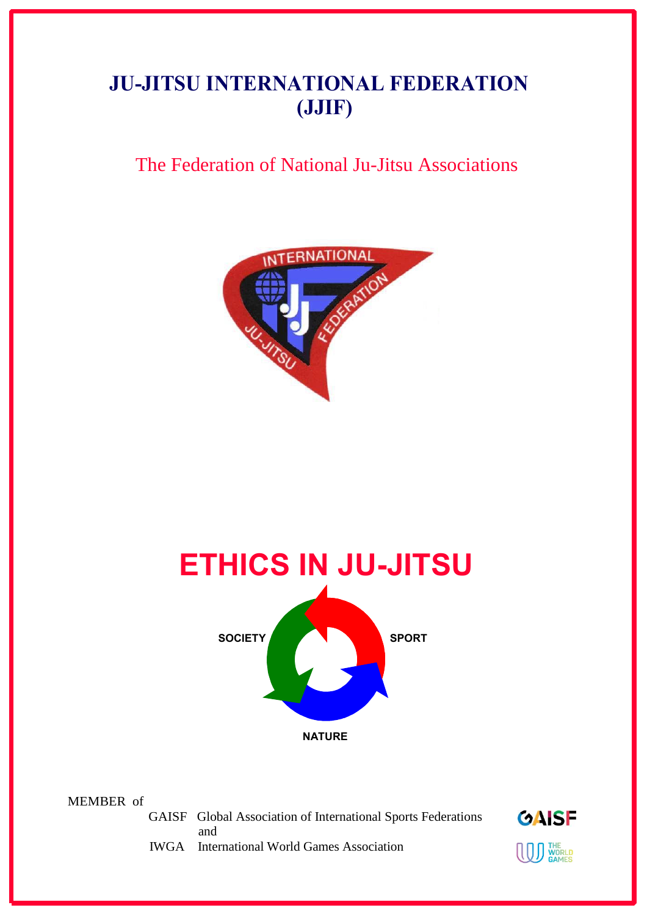# **JU-JITSU INTERNATIONAL FEDERATION (JJIF)**

# The Federation of National Ju-Jitsu Associations





MEMBER of

 GAISF Global Association of International Sports Federations and



IWGA International World Games Association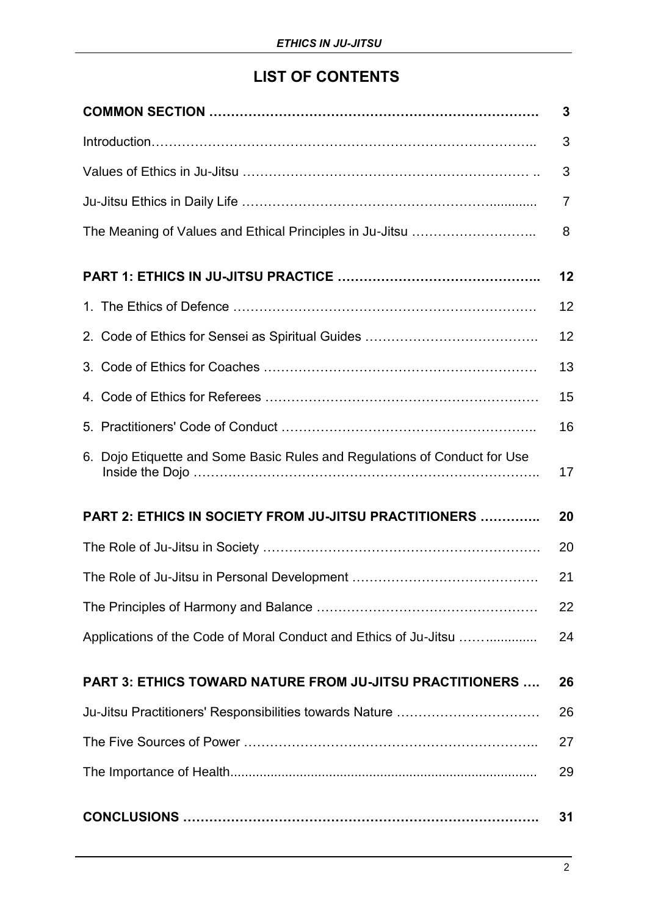## **LIST OF CONTENTS**

|                                                                           | 3              |
|---------------------------------------------------------------------------|----------------|
|                                                                           | 3              |
|                                                                           | 3              |
|                                                                           | $\overline{7}$ |
|                                                                           | 8              |
|                                                                           | 12             |
|                                                                           | 12             |
|                                                                           | 12             |
|                                                                           | 13             |
|                                                                           | 15             |
|                                                                           | 16             |
| 6. Dojo Etiquette and Some Basic Rules and Regulations of Conduct for Use | 17             |
| <b>PART 2: ETHICS IN SOCIETY FROM JU-JITSU PRACTITIONERS </b>             | 20             |
|                                                                           | 20             |
|                                                                           | 21             |
|                                                                           | 22             |
| Applications of the Code of Moral Conduct and Ethics of Ju-Jitsu          | 24             |
| <b>PART 3: ETHICS TOWARD NATURE FROM JU-JITSU PRACTITIONERS </b>          | 26             |
| Ju-Jitsu Practitioners' Responsibilities towards Nature                   | 26             |
|                                                                           | 27             |
|                                                                           | 29             |
|                                                                           | 31             |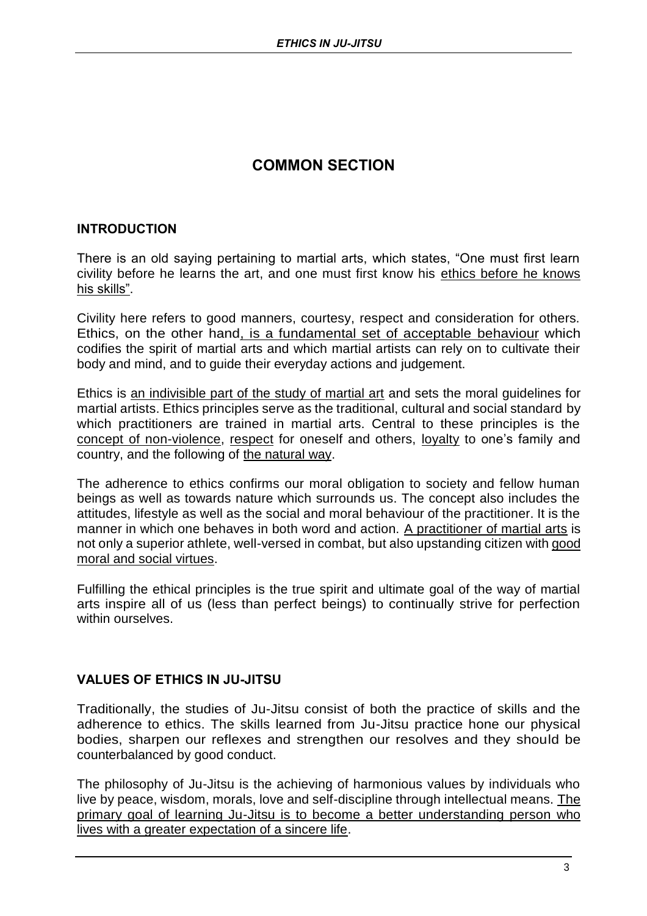## **COMMON SECTION**

### **INTRODUCTION**

There is an old saying pertaining to martial arts, which states, "One must first learn civility before he learns the art, and one must first know his ethics before he knows his skills".

Civility here refers to good manners, courtesy, respect and consideration for others. Ethics, on the other hand, is a fundamental set of acceptable behaviour which codifies the spirit of martial arts and which martial artists can rely on to cultivate their body and mind, and to guide their everyday actions and judgement.

Ethics is an indivisible part of the study of martial art and sets the moral guidelines for martial artists. Ethics principles serve as the traditional, cultural and social standard by which practitioners are trained in martial arts. Central to these principles is the concept of non-violence, respect for oneself and others, loyalty to one's family and country, and the following of the natural way.

The adherence to ethics confirms our moral obligation to society and fellow human beings as well as towards nature which surrounds us. The concept also includes the attitudes, lifestyle as well as the social and moral behaviour of the practitioner. It is the manner in which one behaves in both word and action. A practitioner of martial arts is not only a superior athlete, well-versed in combat, but also upstanding citizen with good moral and social virtues.

Fulfilling the ethical principles is the true spirit and ultimate goal of the way of martial arts inspire all of us (less than perfect beings) to continually strive for perfection within ourselves.

## **VALUES OF ETHICS IN JU-JITSU**

Traditionally, the studies of Ju-Jitsu consist of both the practice of skills and the adherence to ethics. The skills learned from Ju-Jitsu practice hone our physical bodies, sharpen our reflexes and strengthen our resolves and they should be counterbalanced by good conduct.

The philosophy of Ju-Jitsu is the achieving of harmonious values by individuals who live by peace, wisdom, morals, love and self-discipline through intellectual means. The primary goal of learning Ju-Jitsu is to become a better understanding person who lives with a greater expectation of a sincere life.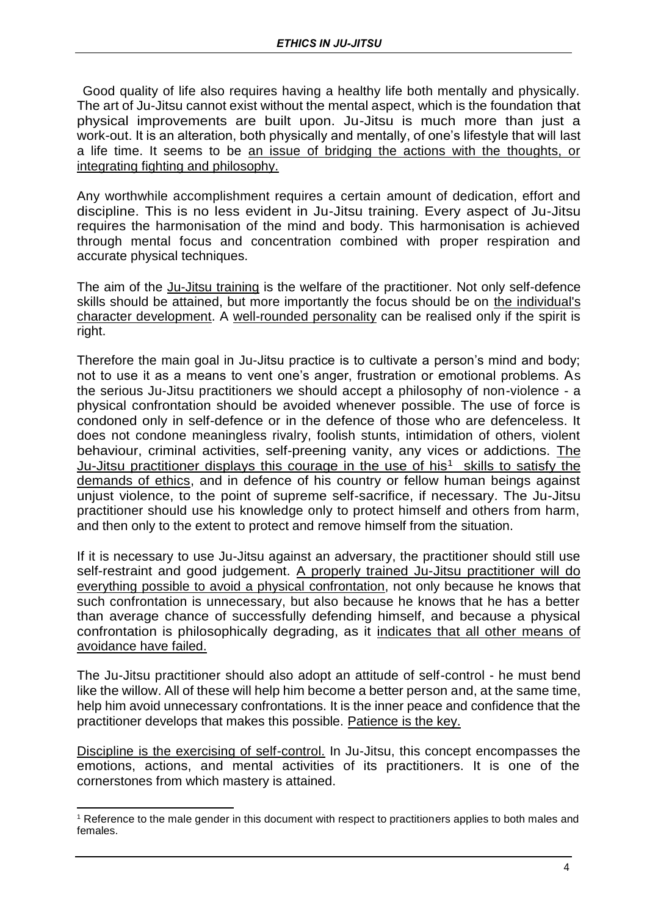Good quality of life also requires having a healthy life both mentally and physically. The art of Ju-Jitsu cannot exist without the mental aspect, which is the foundation that physical improvements are built upon. Ju-Jitsu is much more than just a work-out. It is an alteration, both physically and mentally, of one's lifestyle that will last a life time. It seems to be an issue of bridging the actions with the thoughts, or integrating fighting and philosophy.

Any worthwhile accomplishment requires a certain amount of dedication, effort and discipline. This is no less evident in Ju-Jitsu training. Every aspect of Ju-Jitsu requires the harmonisation of the mind and body. This harmonisation is achieved through mental focus and concentration combined with proper respiration and accurate physical techniques.

The aim of the Ju-Jitsu training is the welfare of the practitioner. Not only self-defence skills should be attained, but more importantly the focus should be on the individual's character development. A well-rounded personality can be realised only if the spirit is right.

Therefore the main goal in Ju-Jitsu practice is to cultivate a person's mind and body; not to use it as a means to vent one's anger, frustration or emotional problems. As the serious Ju-Jitsu practitioners we should accept a philosophy of non-violence - a physical confrontation should be avoided whenever possible. The use of force is condoned only in self-defence or in the defence of those who are defenceless. It does not condone meaningless rivalry, foolish stunts, intimidation of others, violent behaviour, criminal activities, self-preening vanity, any vices or addictions. The Ju-Jitsu practitioner displays this courage in the use of his<sup>1</sup> skills to satisfy the demands of ethics, and in defence of his country or fellow human beings against unjust violence, to the point of supreme self-sacrifice, if necessary. The Ju-Jitsu practitioner should use his knowledge only to protect himself and others from harm, and then only to the extent to protect and remove himself from the situation.

If it is necessary to use Ju-Jitsu against an adversary, the practitioner should still use self-restraint and good judgement. A properly trained Ju-Jitsu practitioner will do everything possible to avoid a physical confrontation, not only because he knows that such confrontation is unnecessary, but also because he knows that he has a better than average chance of successfully defending himself, and because a physical confrontation is philosophically degrading, as it indicates that all other means of avoidance have failed.

The Ju-Jitsu practitioner should also adopt an attitude of self-control - he must bend like the willow. All of these will help him become a better person and, at the same time, help him avoid unnecessary confrontations. It is the inner peace and confidence that the practitioner develops that makes this possible. Patience is the key.

Discipline is the exercising of self-control. In Ju-Jitsu, this concept encompasses the emotions, actions, and mental activities of its practitioners. It is one of the cornerstones from which mastery is attained.

<sup>1</sup> Reference to the male gender in this document with respect to practitioners applies to both males and females.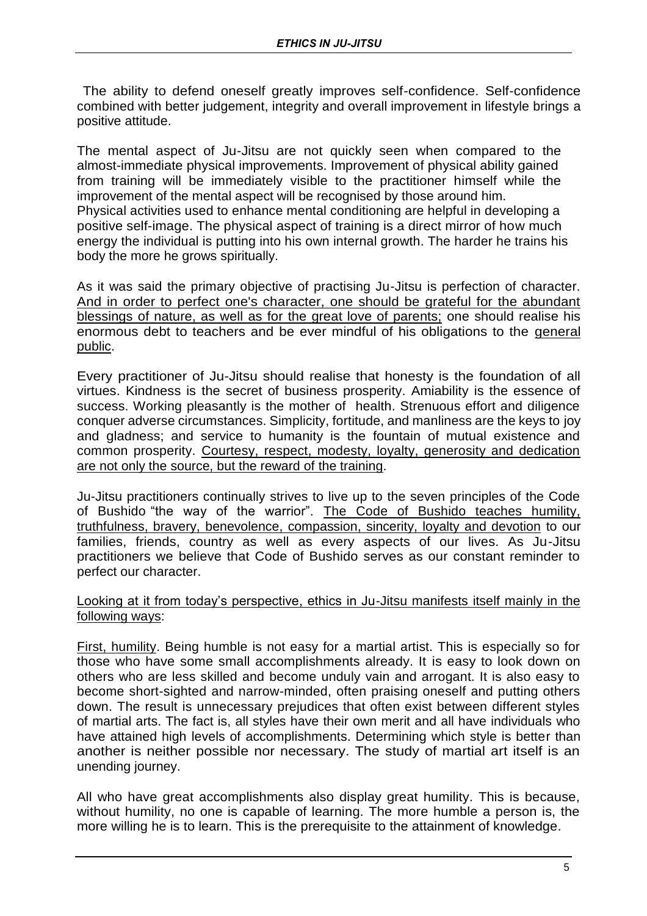The ability to defend oneself greatly improves self-confidence. Self-confidence combined with better judgement, integrity and overall improvement in lifestyle brings a positive attitude.

The mental aspect of Ju-Jitsu are not quickly seen when compared to the almost-immediate physical improvements. Improvement of physical ability gained from training will be immediately visible to the practitioner himself while the improvement of the mental aspect will be recognised by those around him. Physical activities used to enhance mental conditioning are helpful in developing a positive self-image. The physical aspect of training is a direct mirror of how much energy the individual is putting into his own internal growth. The harder he trains his body the more he grows spiritually.

As it was said the primary objective of practising Ju-Jitsu is perfection of character. And in order to perfect one's character, one should be grateful for the abundant blessings of nature, as well as for the great love of parents; one should realise his enormous debt to teachers and be ever mindful of his obligations to the general public.

Every practitioner of Ju-Jitsu should realise that honesty is the foundation of all virtues. Kindness is the secret of business prosperity. Amiability is the essence of success. Working pleasantly is the mother of health. Strenuous effort and diligence conquer adverse circumstances. Simplicity, fortitude, and manliness are the keys to joy and gladness; and service to humanity is the fountain of mutual existence and common prosperity. Courtesy, respect, modesty, loyalty, generosity and dedication are not only the source, but the reward of the training.

Ju-Jitsu practitioners continually strives to live up to the seven principles of the Code of Bushido "the way of the warrior". The Code of Bushido teaches humility, truthfulness, bravery, benevolence, compassion, sincerity, loyalty and devotion to our families, friends, country as well as every aspects of our lives. As Ju-Jitsu practitioners we believe that Code of Bushido serves as our constant reminder to perfect our character.

#### Looking at it from today's perspective, ethics in Ju-Jitsu manifests itself mainly in the following ways:

First, humility. Being humble is not easy for a martial artist. This is especially so for those who have some small accomplishments already. It is easy to look down on others who are less skilled and become unduly vain and arrogant. It is also easy to become short-sighted and narrow-minded, often praising oneself and putting others down. The result is unnecessary prejudices that often exist between different styles of martial arts. The fact is, all styles have their own merit and all have individuals who have attained high levels of accomplishments. Determining which style is better than another is neither possible nor necessary. The study of martial art itself is an unending journey.

All who have great accomplishments also display great humility. This is because, without humility, no one is capable of learning. The more humble a person is, the more willing he is to learn. This is the prerequisite to the attainment of knowledge.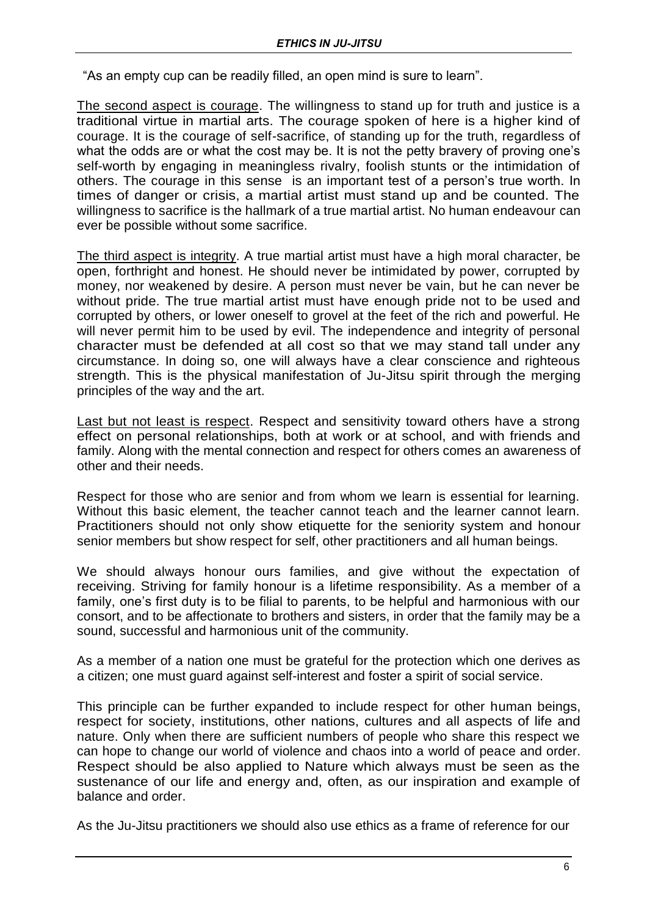"As an empty cup can be readily filled, an open mind is sure to learn".

The second aspect is courage. The willingness to stand up for truth and justice is a traditional virtue in martial arts. The courage spoken of here is a higher kind of courage. It is the courage of self-sacrifice, of standing up for the truth, regardless of what the odds are or what the cost may be. It is not the petty bravery of proving one's self-worth by engaging in meaningless rivalry, foolish stunts or the intimidation of others. The courage in this sense is an important test of a person's true worth. In times of danger or crisis, a martial artist must stand up and be counted. The willingness to sacrifice is the hallmark of a true martial artist. No human endeavour can ever be possible without some sacrifice.

The third aspect is integrity. A true martial artist must have a high moral character, be open, forthright and honest. He should never be intimidated by power, corrupted by money, nor weakened by desire. A person must never be vain, but he can never be without pride. The true martial artist must have enough pride not to be used and corrupted by others, or lower oneself to grovel at the feet of the rich and powerful. He will never permit him to be used by evil. The independence and integrity of personal character must be defended at all cost so that we may stand tall under any circumstance. In doing so, one will always have a clear conscience and righteous strength. This is the physical manifestation of Ju-Jitsu spirit through the merging principles of the way and the art.

Last but not least is respect. Respect and sensitivity toward others have a strong effect on personal relationships, both at work or at school, and with friends and family. Along with the mental connection and respect for others comes an awareness of other and their needs.

Respect for those who are senior and from whom we learn is essential for learning. Without this basic element, the teacher cannot teach and the learner cannot learn. Practitioners should not only show etiquette for the seniority system and honour senior members but show respect for self, other practitioners and all human beings.

We should always honour ours families, and give without the expectation of receiving. Striving for family honour is a lifetime responsibility. As a member of a family, one's first duty is to be filial to parents, to be helpful and harmonious with our consort, and to be affectionate to brothers and sisters, in order that the family may be a sound, successful and harmonious unit of the community.

As a member of a nation one must be grateful for the protection which one derives as a citizen; one must guard against self-interest and foster a spirit of social service.

This principle can be further expanded to include respect for other human beings, respect for society, institutions, other nations, cultures and all aspects of life and nature. Only when there are sufficient numbers of people who share this respect we can hope to change our world of violence and chaos into a world of peace and order. Respect should be also applied to Nature which always must be seen as the sustenance of our life and energy and, often, as our inspiration and example of balance and order.

As the Ju-Jitsu practitioners we should also use ethics as a frame of reference for our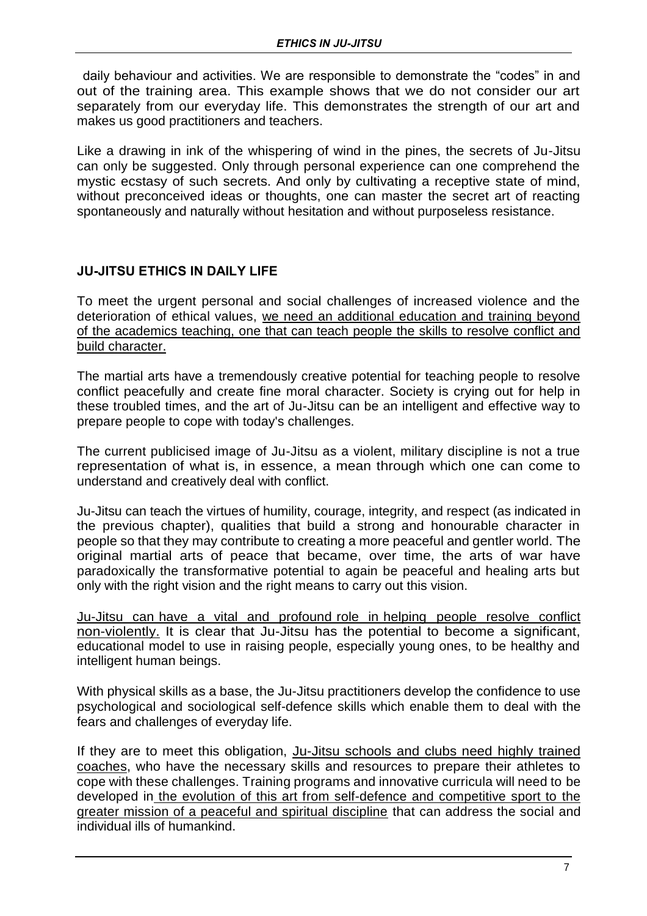daily behaviour and activities. We are responsible to demonstrate the "codes" in and out of the training area. This example shows that we do not consider our art separately from our everyday life. This demonstrates the strength of our art and makes us good practitioners and teachers.

Like a drawing in ink of the whispering of wind in the pines, the secrets of Ju-Jitsu can only be suggested. Only through personal experience can one comprehend the mystic ecstasy of such secrets. And only by cultivating a receptive state of mind, without preconceived ideas or thoughts, one can master the secret art of reacting spontaneously and naturally without hesitation and without purposeless resistance.

## **JU-JITSU ETHICS IN DAILY LIFE**

To meet the urgent personal and social challenges of increased violence and the deterioration of ethical values, we need an additional education and training beyond of the academics teaching, one that can teach people the skills to resolve conflict and build character.

The martial arts have a tremendously creative potential for teaching people to resolve conflict peacefully and create fine moral character. Society is crying out for help in these troubled times, and the art of Ju-Jitsu can be an intelligent and effective way to prepare people to cope with today's challenges.

The current publicised image of Ju-Jitsu as a violent, military discipline is not a true representation of what is, in essence, a mean through which one can come to understand and creatively deal with conflict.

Ju-Jitsu can teach the virtues of humility, courage, integrity, and respect (as indicated in the previous chapter), qualities that build a strong and honourable character in people so that they may contribute to creating a more peaceful and gentler world. The original martial arts of peace that became, over time, the arts of war have paradoxically the transformative potential to again be peaceful and healing arts but only with the right vision and the right means to carry out this vision.

Ju-Jitsu can have a vital and profound role in helping people resolve conflict non-violently. It is clear that Ju-Jitsu has the potential to become a significant, educational model to use in raising people, especially young ones, to be healthy and intelligent human beings.

With physical skills as a base, the Ju-Jitsu practitioners develop the confidence to use psychological and sociological self-defence skills which enable them to deal with the fears and challenges of everyday life.

If they are to meet this obligation, Ju-Jitsu schools and clubs need highly trained coaches, who have the necessary skills and resources to prepare their athletes to cope with these challenges. Training programs and innovative curricula will need to be developed in the evolution of this art from self-defence and competitive sport to the greater mission of a peaceful and spiritual discipline that can address the social and individual ills of humankind.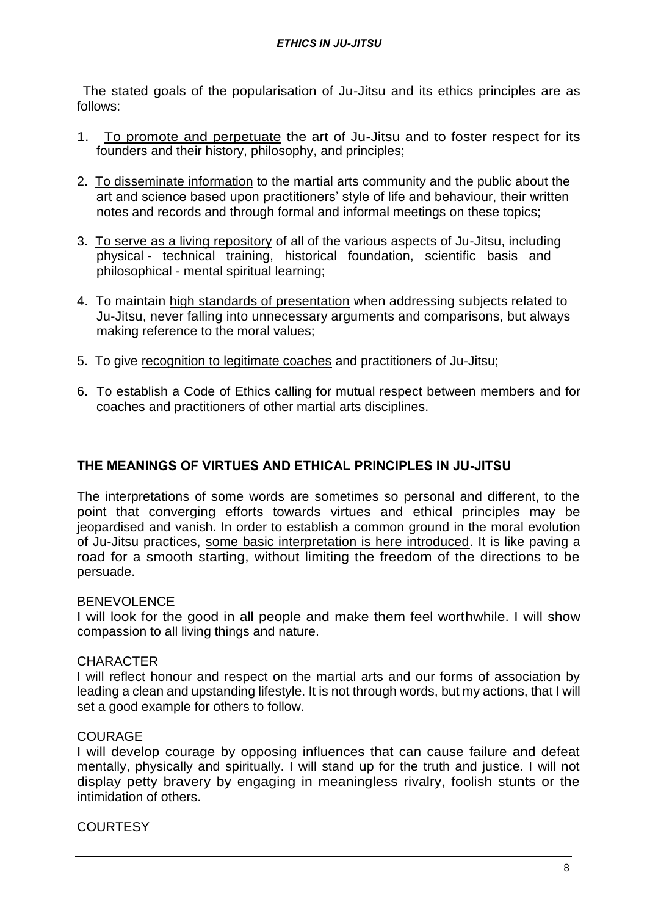The stated goals of the popularisation of Ju-Jitsu and its ethics principles are as follows:

- 1. To promote and perpetuate the art of Ju-Jitsu and to foster respect for its founders and their history, philosophy, and principles;
- 2. To disseminate information to the martial arts community and the public about the art and science based upon practitioners' style of life and behaviour, their written notes and records and through formal and informal meetings on these topics;
- 3. To serve as a living repository of all of the various aspects of Ju-Jitsu, including physical - technical training, historical foundation, scientific basis and philosophical - mental spiritual learning;
- 4. To maintain high standards of presentation when addressing subjects related to Ju-Jitsu, never falling into unnecessary arguments and comparisons, but always making reference to the moral values;
- 5. To give recognition to legitimate coaches and practitioners of Ju-Jitsu;
- 6. To establish a Code of Ethics calling for mutual respect between members and for coaches and practitioners of other martial arts disciplines.

## **THE MEANINGS OF VIRTUES AND ETHICAL PRINCIPLES IN JU-JITSU**

The interpretations of some words are sometimes so personal and different, to the point that converging efforts towards virtues and ethical principles may be jeopardised and vanish. In order to establish a common ground in the moral evolution of Ju-Jitsu practices, some basic interpretation is here introduced. It is like paving a road for a smooth starting, without limiting the freedom of the directions to be persuade.

#### BENEVOLENCE

I will look for the good in all people and make them feel worthwhile. I will show compassion to all living things and nature.

## **CHARACTER**

I will reflect honour and respect on the martial arts and our forms of association by leading a clean and upstanding lifestyle. It is not through words, but my actions, that I will set a good example for others to follow.

## COURAGE

I will develop courage by opposing influences that can cause failure and defeat mentally, physically and spiritually. I will stand up for the truth and justice. I will not display petty bravery by engaging in meaningless rivalry, foolish stunts or the intimidation of others.

## **COURTESY**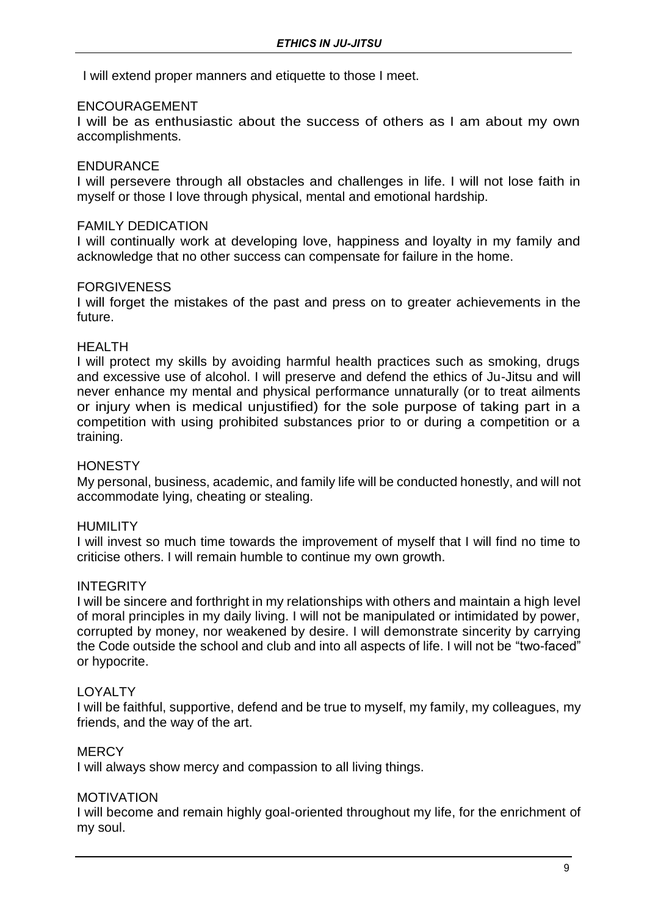I will extend proper manners and etiquette to those I meet.

### ENCOURAGEMENT

I will be as enthusiastic about the success of others as I am about my own accomplishments.

#### ENDURANCE

I will persevere through all obstacles and challenges in life. I will not lose faith in myself or those I love through physical, mental and emotional hardship.

#### FAMILY DEDICATION

I will continually work at developing love, happiness and loyalty in my family and acknowledge that no other success can compensate for failure in the home.

#### FORGIVENESS

I will forget the mistakes of the past and press on to greater achievements in the future.

#### HEALTH

I will protect my skills by avoiding harmful health practices such as smoking, drugs and excessive use of alcohol. I will preserve and defend the ethics of Ju-Jitsu and will never enhance my mental and physical performance unnaturally (or to treat ailments or injury when is medical unjustified) for the sole purpose of taking part in a competition with using prohibited substances prior to or during a competition or a training.

#### **HONESTY**

My personal, business, academic, and family life will be conducted honestly, and will not accommodate lying, cheating or stealing.

#### **HUMILITY**

I will invest so much time towards the improvement of myself that I will find no time to criticise others. I will remain humble to continue my own growth.

#### **INTEGRITY**

I will be sincere and forthright in my relationships with others and maintain a high level of moral principles in my daily living. I will not be manipulated or intimidated by power, corrupted by money, nor weakened by desire. I will demonstrate sincerity by carrying the Code outside the school and club and into all aspects of life. I will not be "two-faced" or hypocrite.

#### LOYALTY

I will be faithful, supportive, defend and be true to myself, my family, my colleagues, my friends, and the way of the art.

#### **MERCY**

I will always show mercy and compassion to all living things.

#### MOTIVATION

I will become and remain highly goal-oriented throughout my life, for the enrichment of my soul.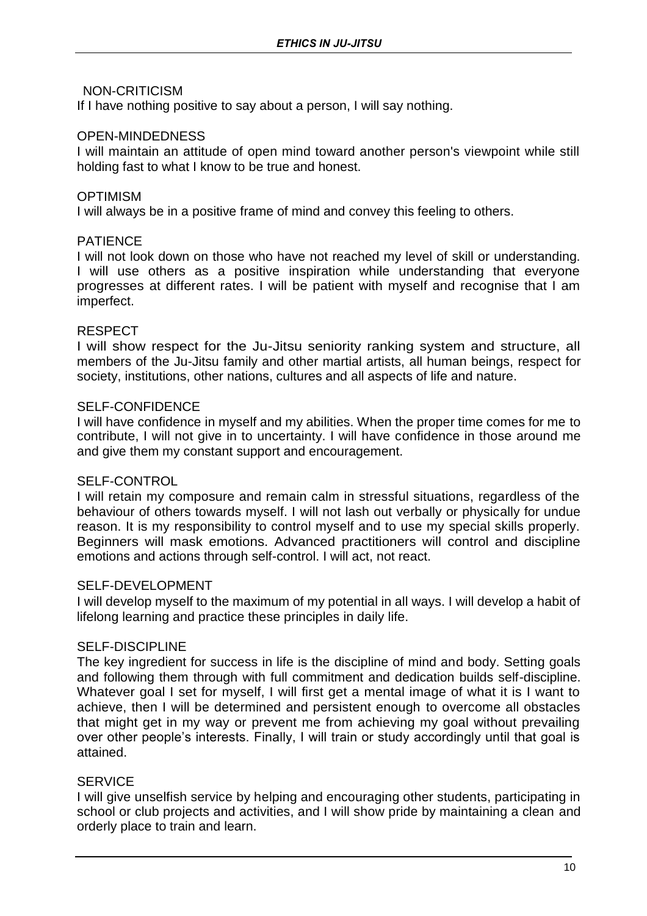#### NON-CRITICISM

If I have nothing positive to say about a person, I will say nothing.

#### OPEN-MINDEDNESS

I will maintain an attitude of open mind toward another person's viewpoint while still holding fast to what I know to be true and honest.

#### **OPTIMISM**

I will always be in a positive frame of mind and convey this feeling to others.

#### PATIENCE

I will not look down on those who have not reached my level of skill or understanding. I will use others as a positive inspiration while understanding that everyone progresses at different rates. I will be patient with myself and recognise that I am imperfect.

#### RESPECT

I will show respect for the Ju-Jitsu seniority ranking system and structure, all members of the Ju-Jitsu family and other martial artists, all human beings, respect for society, institutions, other nations, cultures and all aspects of life and nature.

#### SELF-CONFIDENCE

I will have confidence in myself and my abilities. When the proper time comes for me to contribute, I will not give in to uncertainty. I will have confidence in those around me and give them my constant support and encouragement.

#### SELF-CONTROL

I will retain my composure and remain calm in stressful situations, regardless of the behaviour of others towards myself. I will not lash out verbally or physically for undue reason. It is my responsibility to control myself and to use my special skills properly. Beginners will mask emotions. Advanced practitioners will control and discipline emotions and actions through self-control. I will act, not react.

#### SELF-DEVELOPMENT

I will develop myself to the maximum of my potential in all ways. I will develop a habit of lifelong learning and practice these principles in daily life.

#### SELF-DISCIPLINE

The key ingredient for success in life is the discipline of mind and body. Setting goals and following them through with full commitment and dedication builds self-discipline. Whatever goal I set for myself, I will first get a mental image of what it is I want to achieve, then I will be determined and persistent enough to overcome all obstacles that might get in my way or prevent me from achieving my goal without prevailing over other people's interests. Finally, I will train or study accordingly until that goal is attained.

#### **SERVICE**

I will give unselfish service by helping and encouraging other students, participating in school or club projects and activities, and I will show pride by maintaining a clean and orderly place to train and learn.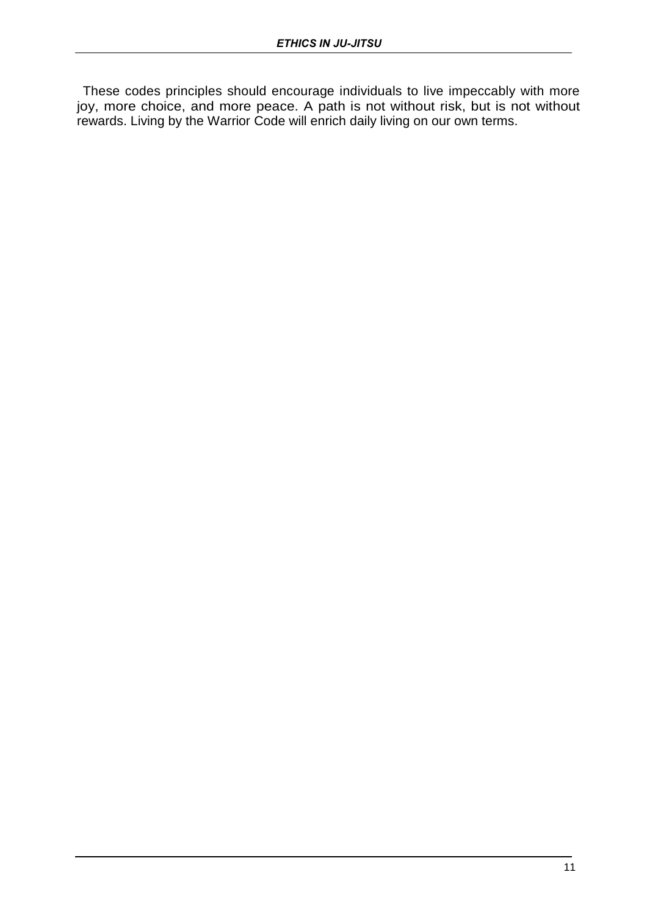These codes principles should encourage individuals to live impeccably with more joy, more choice, and more peace. A path is not without risk, but is not without rewards. Living by the Warrior Code will enrich daily living on our own terms.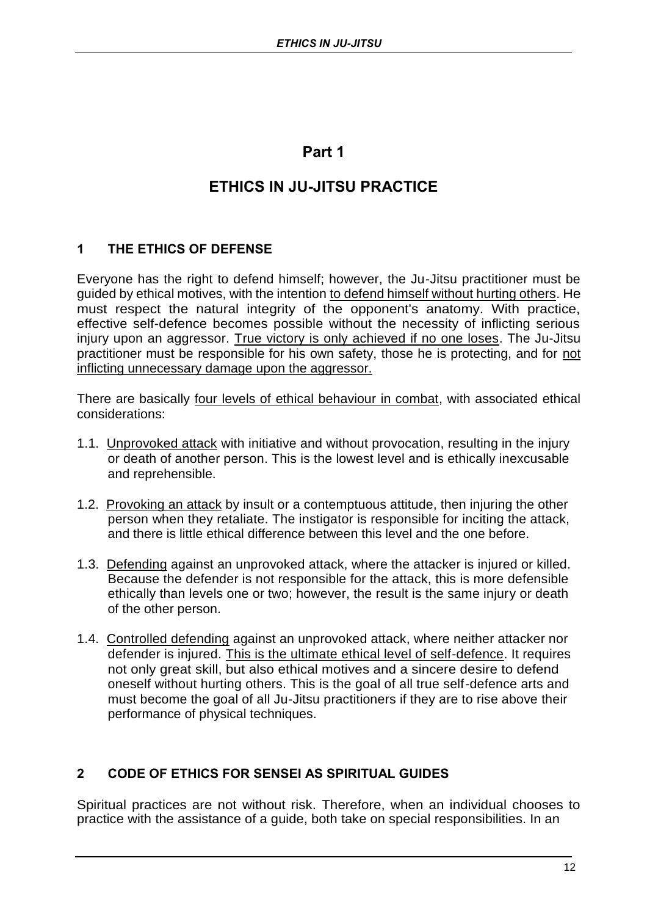## **Part 1**

## **ETHICS IN JU-JITSU PRACTICE**

## **1 THE ETHICS OF DEFENSE**

Everyone has the right to defend himself; however, the Ju-Jitsu practitioner must be guided by ethical motives, with the intention to defend himself without hurting others. He must respect the natural integrity of the opponent's anatomy. With practice, effective self-defence becomes possible without the necessity of inflicting serious injury upon an aggressor. True victory is only achieved if no one loses. The Ju-Jitsu practitioner must be responsible for his own safety, those he is protecting, and for not inflicting unnecessary damage upon the aggressor.

There are basically four levels of ethical behaviour in combat, with associated ethical considerations:

- 1.1. Unprovoked attack with initiative and without provocation, resulting in the injury or death of another person. This is the lowest level and is ethically inexcusable and reprehensible.
- 1.2. Provoking an attack by insult or a contemptuous attitude, then injuring the other person when they retaliate. The instigator is responsible for inciting the attack, and there is little ethical difference between this level and the one before.
- 1.3. Defending against an unprovoked attack, where the attacker is injured or killed. Because the defender is not responsible for the attack, this is more defensible ethically than levels one or two; however, the result is the same injury or death of the other person.
- 1.4. Controlled defending against an unprovoked attack, where neither attacker nor defender is injured. This is the ultimate ethical level of self-defence. It requires not only great skill, but also ethical motives and a sincere desire to defend oneself without hurting others. This is the goal of all true self-defence arts and must become the goal of all Ju-Jitsu practitioners if they are to rise above their performance of physical techniques.

## **2 CODE OF ETHICS FOR SENSEI AS SPIRITUAL GUIDES**

Spiritual practices are not without risk. Therefore, when an individual chooses to practice with the assistance of a guide, both take on special responsibilities. In an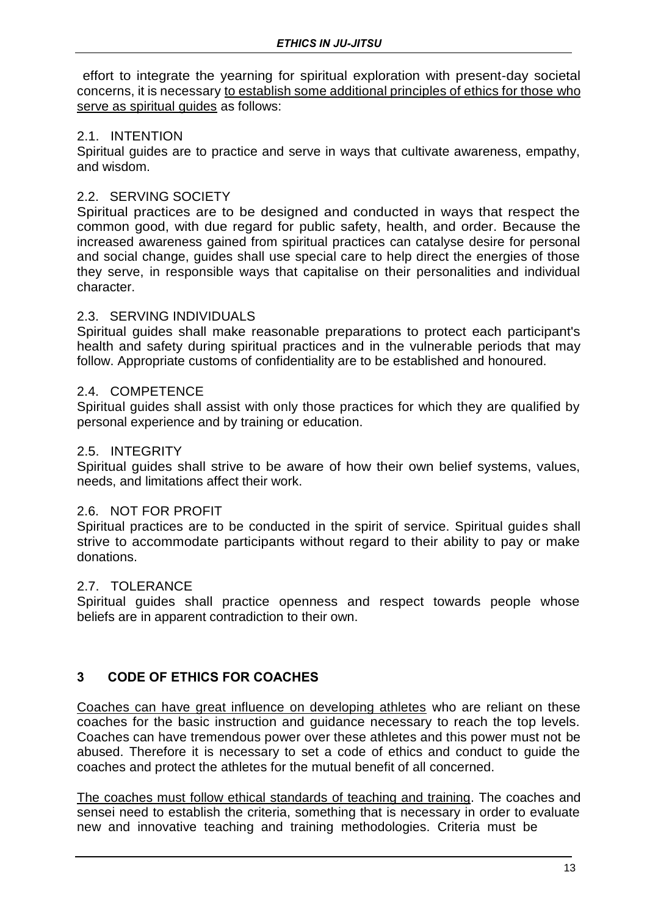effort to integrate the yearning for spiritual exploration with present-day societal concerns, it is necessary to establish some additional principles of ethics for those who serve as spiritual guides as follows:

### 2.1. INTENTION

Spiritual guides are to practice and serve in ways that cultivate awareness, empathy, and wisdom.

### 2.2. SERVING SOCIETY

Spiritual practices are to be designed and conducted in ways that respect the common good, with due regard for public safety, health, and order. Because the increased awareness gained from spiritual practices can catalyse desire for personal and social change, guides shall use special care to help direct the energies of those they serve, in responsible ways that capitalise on their personalities and individual character.

### 2.3. SERVING INDIVIDUALS

Spiritual guides shall make reasonable preparations to protect each participant's health and safety during spiritual practices and in the vulnerable periods that may follow. Appropriate customs of confidentiality are to be established and honoured.

### 2.4. COMPETENCE

Spiritual guides shall assist with only those practices for which they are qualified by personal experience and by training or education.

### 2.5. INTEGRITY

Spiritual guides shall strive to be aware of how their own belief systems, values, needs, and limitations affect their work.

## 2.6. NOT FOR PROFIT

Spiritual practices are to be conducted in the spirit of service. Spiritual guides shall strive to accommodate participants without regard to their ability to pay or make donations.

#### 2.7. TOLERANCE

Spiritual guides shall practice openness and respect towards people whose beliefs are in apparent contradiction to their own.

## **3 CODE OF ETHICS FOR COACHES**

Coaches can have great influence on developing athletes who are reliant on these coaches for the basic instruction and guidance necessary to reach the top levels. Coaches can have tremendous power over these athletes and this power must not be abused. Therefore it is necessary to set a code of ethics and conduct to guide the coaches and protect the athletes for the mutual benefit of all concerned.

The coaches must follow ethical standards of teaching and training. The coaches and sensei need to establish the criteria, something that is necessary in order to evaluate new and innovative teaching and training methodologies. Criteria must be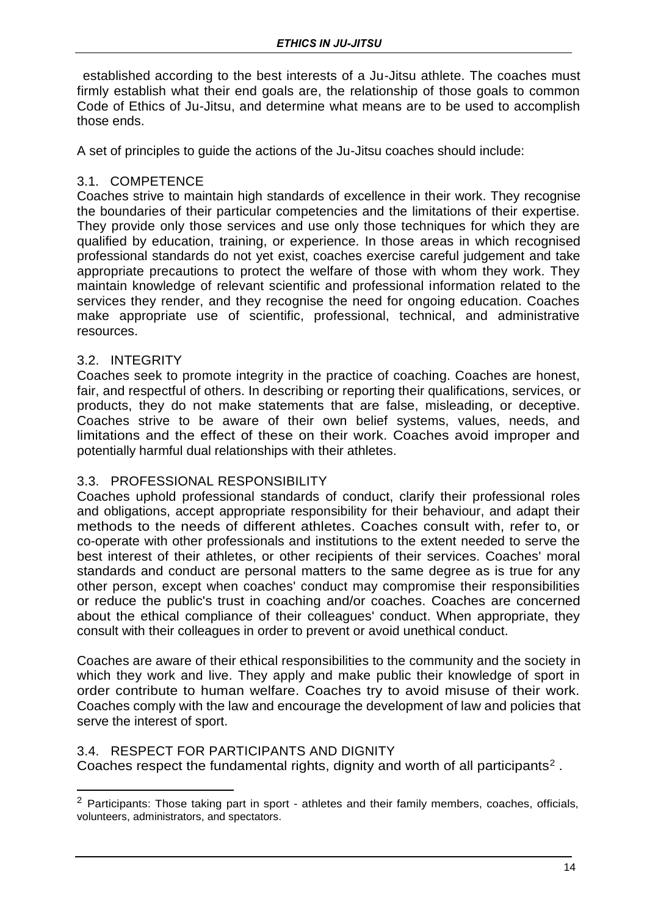established according to the best interests of a Ju-Jitsu athlete. The coaches must firmly establish what their end goals are, the relationship of those goals to common Code of Ethics of Ju-Jitsu, and determine what means are to be used to accomplish those ends.

A set of principles to guide the actions of the Ju-Jitsu coaches should include:

## 3.1. COMPETENCE

Coaches strive to maintain high standards of excellence in their work. They recognise the boundaries of their particular competencies and the limitations of their expertise. They provide only those services and use only those techniques for which they are qualified by education, training, or experience. In those areas in which recognised professional standards do not yet exist, coaches exercise careful judgement and take appropriate precautions to protect the welfare of those with whom they work. They maintain knowledge of relevant scientific and professional information related to the services they render, and they recognise the need for ongoing education. Coaches make appropriate use of scientific, professional, technical, and administrative resources.

### 3.2. INTEGRITY

Coaches seek to promote integrity in the practice of coaching. Coaches are honest, fair, and respectful of others. In describing or reporting their qualifications, services, or products, they do not make statements that are false, misleading, or deceptive. Coaches strive to be aware of their own belief systems, values, needs, and limitations and the effect of these on their work. Coaches avoid improper and potentially harmful dual relationships with their athletes.

## 3.3. PROFESSIONAL RESPONSIBILITY

Coaches uphold professional standards of conduct, clarify their professional roles and obligations, accept appropriate responsibility for their behaviour, and adapt their methods to the needs of different athletes. Coaches consult with, refer to, or co-operate with other professionals and institutions to the extent needed to serve the best interest of their athletes, or other recipients of their services. Coaches' moral standards and conduct are personal matters to the same degree as is true for any other person, except when coaches' conduct may compromise their responsibilities or reduce the public's trust in coaching and/or coaches. Coaches are concerned about the ethical compliance of their colleagues' conduct. When appropriate, they consult with their colleagues in order to prevent or avoid unethical conduct.

Coaches are aware of their ethical responsibilities to the community and the society in which they work and live. They apply and make public their knowledge of sport in order contribute to human welfare. Coaches try to avoid misuse of their work. Coaches comply with the law and encourage the development of law and policies that serve the interest of sport.

## 3.4. RESPECT FOR PARTICIPANTS AND DIGNITY

Coaches respect the fundamental rights, dignity and worth of all participants<sup>2</sup>.

 $2$  Participants: Those taking part in sport - athletes and their family members, coaches, officials, volunteers, administrators, and spectators.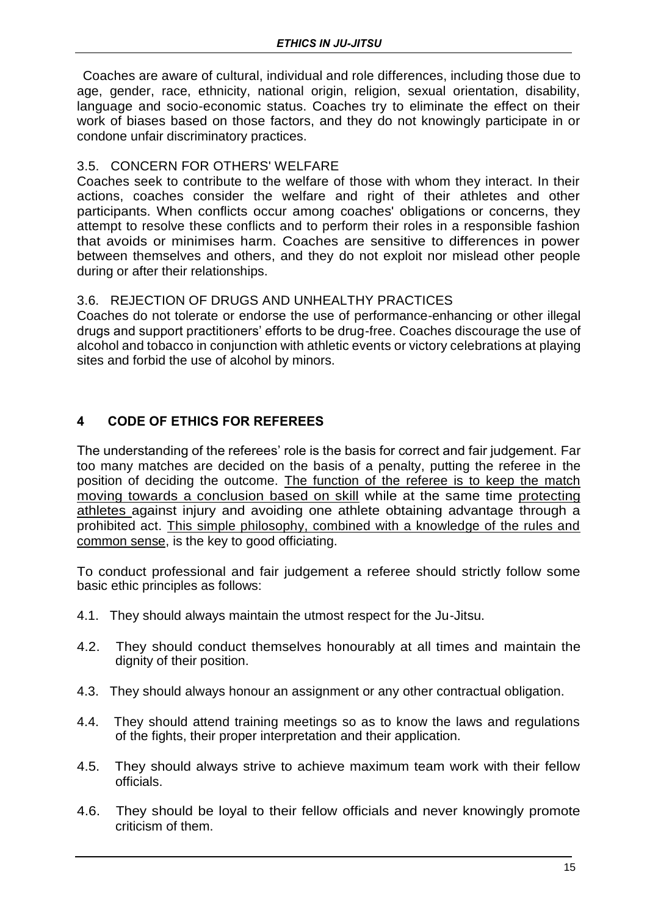Coaches are aware of cultural, individual and role differences, including those due to age, gender, race, ethnicity, national origin, religion, sexual orientation, disability, language and socio-economic status. Coaches try to eliminate the effect on their work of biases based on those factors, and they do not knowingly participate in or condone unfair discriminatory practices.

## 3.5. CONCERN FOR OTHERS' WELFARE

Coaches seek to contribute to the welfare of those with whom they interact. In their actions, coaches consider the welfare and right of their athletes and other participants. When conflicts occur among coaches' obligations or concerns, they attempt to resolve these conflicts and to perform their roles in a responsible fashion that avoids or minimises harm. Coaches are sensitive to differences in power between themselves and others, and they do not exploit nor mislead other people during or after their relationships.

## 3.6. REJECTION OF DRUGS AND UNHEALTHY PRACTICES

Coaches do not tolerate or endorse the use of performance-enhancing or other illegal drugs and support practitioners' efforts to be drug-free. Coaches discourage the use of alcohol and tobacco in conjunction with athletic events or victory celebrations at playing sites and forbid the use of alcohol by minors.

## **4 CODE OF ETHICS FOR REFEREES**

The understanding of the referees' role is the basis for correct and fair judgement. Far too many matches are decided on the basis of a penalty, putting the referee in the position of deciding the outcome. The function of the referee is to keep the match moving towards a conclusion based on skill while at the same time protecting athletes against injury and avoiding one athlete obtaining advantage through a prohibited act. This simple philosophy, combined with a knowledge of the rules and common sense, is the key to good officiating.

To conduct professional and fair judgement a referee should strictly follow some basic ethic principles as follows:

- 4.1. They should always maintain the utmost respect for the Ju-Jitsu.
- 4.2. They should conduct themselves honourably at all times and maintain the dignity of their position.
- 4.3. They should always honour an assignment or any other contractual obligation.
- 4.4. They should attend training meetings so as to know the laws and regulations of the fights, their proper interpretation and their application.
- 4.5. They should always strive to achieve maximum team work with their fellow officials.
- 4.6. They should be loyal to their fellow officials and never knowingly promote criticism of them.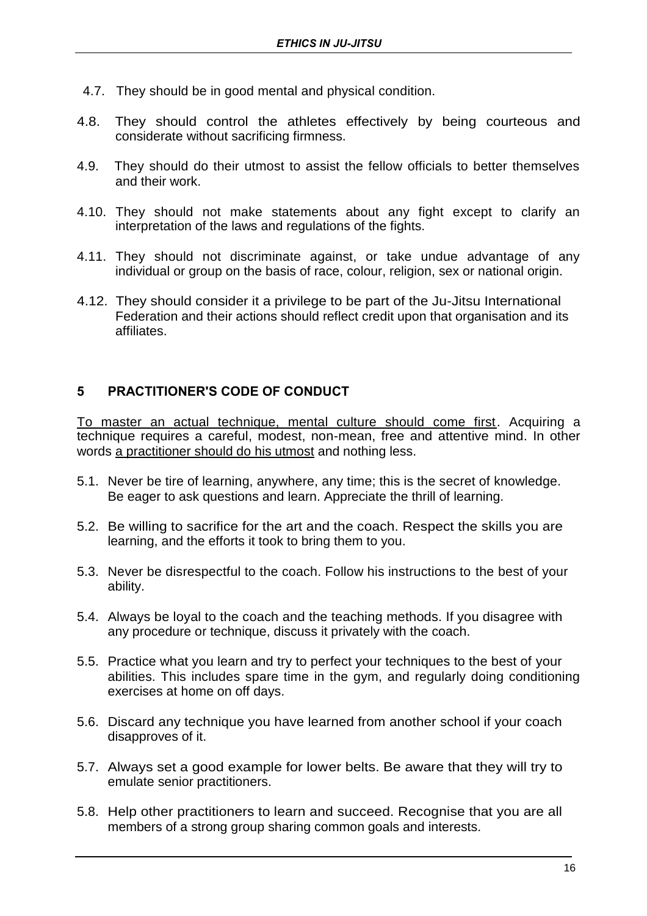- 4.7. They should be in good mental and physical condition.
- 4.8. They should control the athletes effectively by being courteous and considerate without sacrificing firmness.
- 4.9. They should do their utmost to assist the fellow officials to better themselves and their work.
- 4.10. They should not make statements about any fight except to clarify an interpretation of the laws and regulations of the fights.
- 4.11. They should not discriminate against, or take undue advantage of any individual or group on the basis of race, colour, religion, sex or national origin.
- 4.12. They should consider it a privilege to be part of the Ju-Jitsu International Federation and their actions should reflect credit upon that organisation and its affiliates.

## **5 PRACTITIONER'S CODE OF CONDUCT**

To master an actual technique, mental culture should come first. Acquiring a technique requires a careful, modest, non-mean, free and attentive mind. In other words a practitioner should do his utmost and nothing less.

- 5.1. Never be tire of learning, anywhere, any time; this is the secret of knowledge. Be eager to ask questions and learn. Appreciate the thrill of learning.
- 5.2. Be willing to sacrifice for the art and the coach. Respect the skills you are learning, and the efforts it took to bring them to you.
- 5.3. Never be disrespectful to the coach. Follow his instructions to the best of your ability.
- 5.4. Always be loyal to the coach and the teaching methods. If you disagree with any procedure or technique, discuss it privately with the coach.
- 5.5. Practice what you learn and try to perfect your techniques to the best of your abilities. This includes spare time in the gym, and regularly doing conditioning exercises at home on off days.
- 5.6. Discard any technique you have learned from another school if your coach disapproves of it.
- 5.7. Always set a good example for lower belts. Be aware that they will try to emulate senior practitioners.
- 5.8. Help other practitioners to learn and succeed. Recognise that you are all members of a strong group sharing common goals and interests.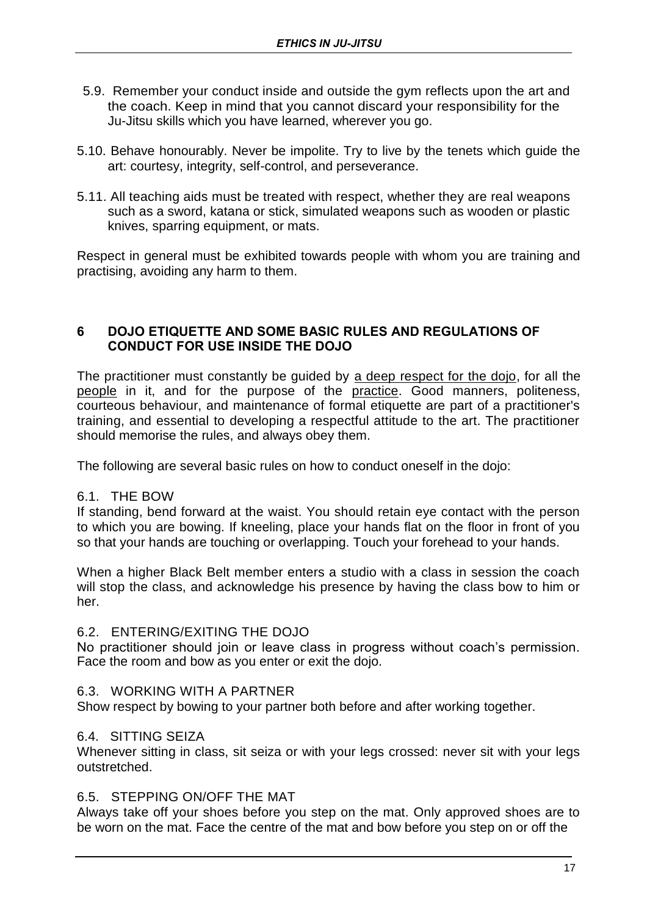- 5.9. Remember your conduct inside and outside the gym reflects upon the art and the coach. Keep in mind that you cannot discard your responsibility for the Ju-Jitsu skills which you have learned, wherever you go.
- 5.10. Behave honourably. Never be impolite. Try to live by the tenets which guide the art: courtesy, integrity, self-control, and perseverance.
- 5.11. All teaching aids must be treated with respect, whether they are real weapons such as a sword, katana or stick, simulated weapons such as wooden or plastic knives, sparring equipment, or mats.

Respect in general must be exhibited towards people with whom you are training and practising, avoiding any harm to them.

### **6 DOJO ETIQUETTE AND SOME BASIC RULES AND REGULATIONS OF CONDUCT FOR USE INSIDE THE DOJO**

The practitioner must constantly be guided by a deep respect for the dojo, for all the people in it, and for the purpose of the practice. Good manners, politeness, courteous behaviour, and maintenance of formal etiquette are part of a practitioner's training, and essential to developing a respectful attitude to the art. The practitioner should memorise the rules, and always obey them.

The following are several basic rules on how to conduct oneself in the dojo:

#### 6.1. THE BOW

If standing, bend forward at the waist. You should retain eye contact with the person to which you are bowing. If kneeling, place your hands flat on the floor in front of you so that your hands are touching or overlapping. Touch your forehead to your hands.

When a higher Black Belt member enters a studio with a class in session the coach will stop the class, and acknowledge his presence by having the class bow to him or her.

#### 6.2. ENTERING/EXITING THE DOJO

No practitioner should join or leave class in progress without coach's permission. Face the room and bow as you enter or exit the dojo.

#### 6.3. WORKING WITH A PARTNER

Show respect by bowing to your partner both before and after working together.

#### 6.4. SITTING SEIZA

Whenever sitting in class, sit seiza or with your legs crossed: never sit with your legs outstretched.

#### 6.5. STEPPING ON/OFF THE MAT

Always take off your shoes before you step on the mat. Only approved shoes are to be worn on the mat. Face the centre of the mat and bow before you step on or off the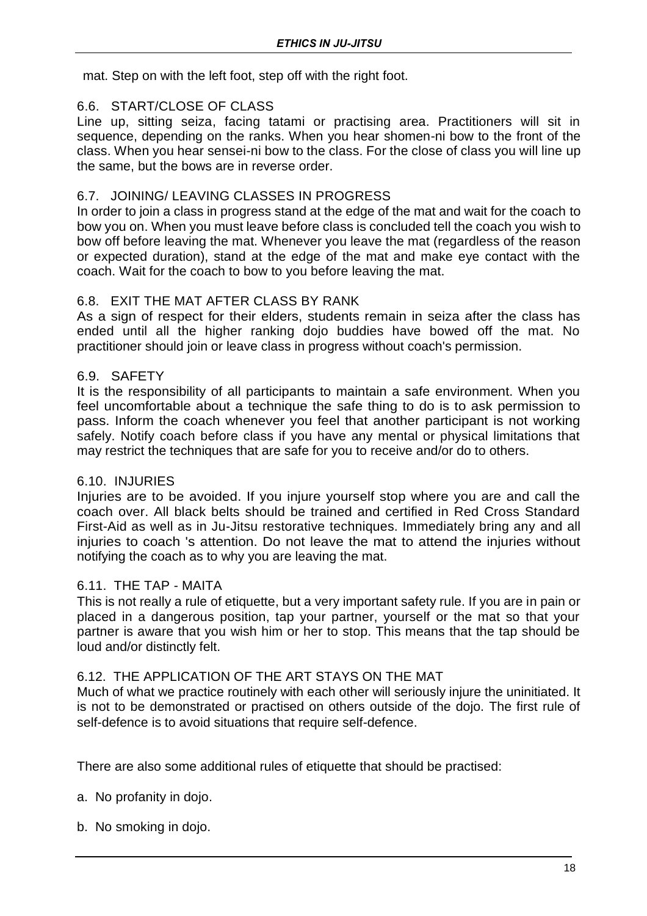mat. Step on with the left foot, step off with the right foot.

## 6.6. START/CLOSE OF CLASS

Line up, sitting seiza, facing tatami or practising area. Practitioners will sit in sequence, depending on the ranks. When you hear shomen-ni bow to the front of the class. When you hear sensei-ni bow to the class. For the close of class you will line up the same, but the bows are in reverse order.

## 6.7. JOINING/ LEAVING CLASSES IN PROGRESS

In order to join a class in progress stand at the edge of the mat and wait for the coach to bow you on. When you must leave before class is concluded tell the coach you wish to bow off before leaving the mat. Whenever you leave the mat (regardless of the reason or expected duration), stand at the edge of the mat and make eye contact with the coach. Wait for the coach to bow to you before leaving the mat.

## 6.8. EXIT THE MAT AFTER CLASS BY RANK

As a sign of respect for their elders, students remain in seiza after the class has ended until all the higher ranking dojo buddies have bowed off the mat. No practitioner should join or leave class in progress without coach's permission.

## 6.9. SAFETY

It is the responsibility of all participants to maintain a safe environment. When you feel uncomfortable about a technique the safe thing to do is to ask permission to pass. Inform the coach whenever you feel that another participant is not working safely. Notify coach before class if you have any mental or physical limitations that may restrict the techniques that are safe for you to receive and/or do to others.

## 6.10. INJURIES

Injuries are to be avoided. If you injure yourself stop where you are and call the coach over. All black belts should be trained and certified in Red Cross Standard First-Aid as well as in Ju-Jitsu restorative techniques. Immediately bring any and all injuries to coach 's attention. Do not leave the mat to attend the injuries without notifying the coach as to why you are leaving the mat.

## 6.11. THE TAP - MAITA

This is not really a rule of etiquette, but a very important safety rule. If you are in pain or placed in a dangerous position, tap your partner, yourself or the mat so that your partner is aware that you wish him or her to stop. This means that the tap should be loud and/or distinctly felt.

## 6.12. THE APPLICATION OF THE ART STAYS ON THE MAT

Much of what we practice routinely with each other will seriously injure the uninitiated. It is not to be demonstrated or practised on others outside of the dojo. The first rule of self-defence is to avoid situations that require self-defence.

There are also some additional rules of etiquette that should be practised:

- a. No profanity in dojo.
- b. No smoking in dojo.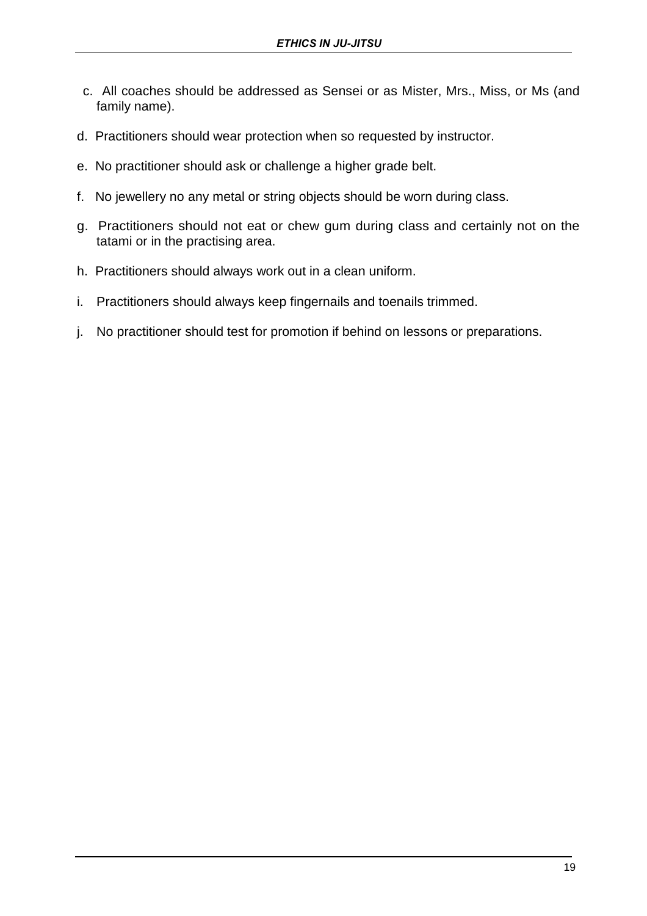- c. All coaches should be addressed as Sensei or as Mister, Mrs., Miss, or Ms (and family name).
- d. Practitioners should wear protection when so requested by instructor.
- e. No practitioner should ask or challenge a higher grade belt.
- f. No jewellery no any metal or string objects should be worn during class.
- g. Practitioners should not eat or chew gum during class and certainly not on the tatami or in the practising area.
- h. Practitioners should always work out in a clean uniform.
- i. Practitioners should always keep fingernails and toenails trimmed.
- j. No practitioner should test for promotion if behind on lessons or preparations.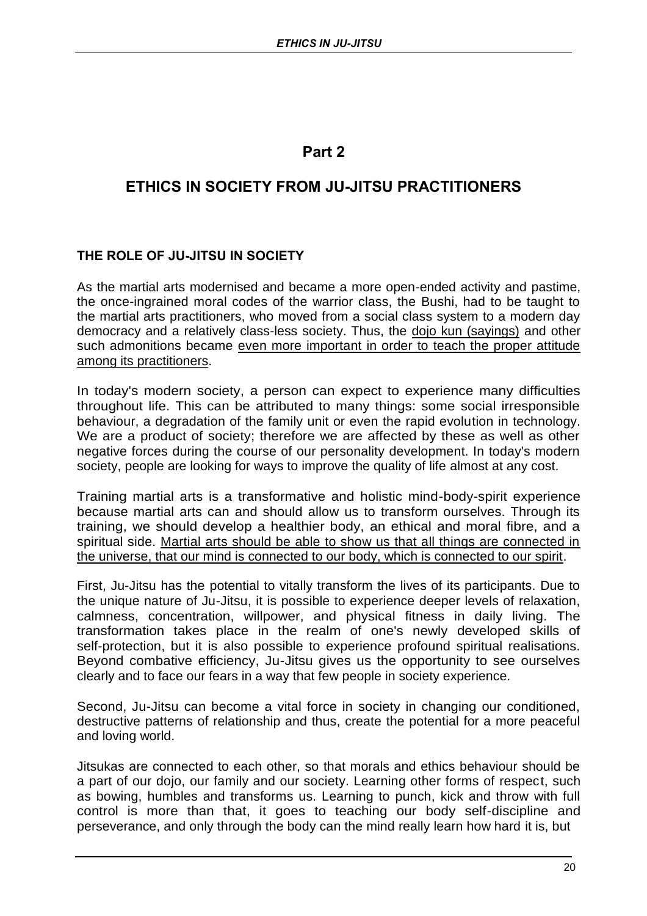## **Part 2**

## **ETHICS IN SOCIETY FROM JU-JITSU PRACTITIONERS**

## **THE ROLE OF JU-JITSU IN SOCIETY**

As the martial arts modernised and became a more open-ended activity and pastime, the once-ingrained moral codes of the warrior class, the Bushi, had to be taught to the martial arts practitioners, who moved from a social class system to a modern day democracy and a relatively class-less society. Thus, the dojo kun (sayings) and other such admonitions became even more important in order to teach the proper attitude among its practitioners.

In today's modern society, a person can expect to experience many difficulties throughout life. This can be attributed to many things: some social irresponsible behaviour, a degradation of the family unit or even the rapid evolution in technology. We are a product of society; therefore we are affected by these as well as other negative forces during the course of our personality development. In today's modern society, people are looking for ways to improve the quality of life almost at any cost.

Training martial arts is a transformative and holistic mind-body-spirit experience because martial arts can and should allow us to transform ourselves. Through its training, we should develop a healthier body, an ethical and moral fibre, and a spiritual side. Martial arts should be able to show us that all things are connected in the universe, that our mind is connected to our body, which is connected to our spirit.

First, Ju-Jitsu has the potential to vitally transform the lives of its participants. Due to the unique nature of Ju-Jitsu, it is possible to experience deeper levels of relaxation, calmness, concentration, willpower, and physical fitness in daily living. The transformation takes place in the realm of one's newly developed skills of self-protection, but it is also possible to experience profound spiritual realisations. Beyond combative efficiency, Ju-Jitsu gives us the opportunity to see ourselves clearly and to face our fears in a way that few people in society experience.

Second, Ju-Jitsu can become a vital force in society in changing our conditioned, destructive patterns of relationship and thus, create the potential for a more peaceful and loving world.

Jitsukas are connected to each other, so that morals and ethics behaviour should be a part of our dojo, our family and our society. Learning other forms of respect, such as bowing, humbles and transforms us. Learning to punch, kick and throw with full control is more than that, it goes to teaching our body self-discipline and perseverance, and only through the body can the mind really learn how hard it is, but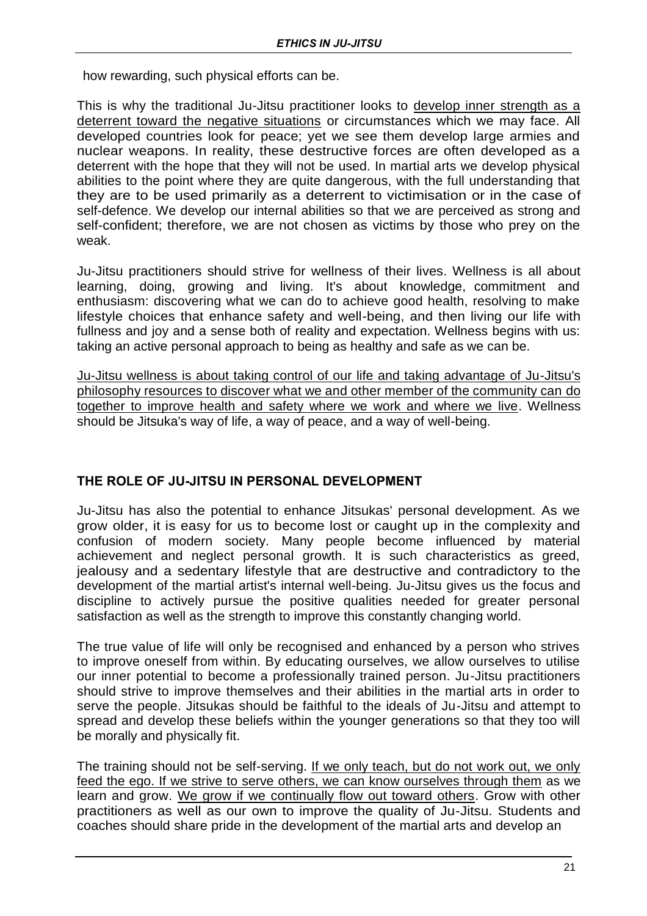how rewarding, such physical efforts can be.

This is why the traditional Ju-Jitsu practitioner looks to develop inner strength as a deterrent toward the negative situations or circumstances which we may face. All developed countries look for peace; yet we see them develop large armies and nuclear weapons. In reality, these destructive forces are often developed as a deterrent with the hope that they will not be used. In martial arts we develop physical abilities to the point where they are quite dangerous, with the full understanding that they are to be used primarily as a deterrent to victimisation or in the case of self-defence. We develop our internal abilities so that we are perceived as strong and self-confident; therefore, we are not chosen as victims by those who prey on the weak.

Ju-Jitsu practitioners should strive for wellness of their lives. Wellness is all about learning, doing, growing and living. It's about knowledge, commitment and enthusiasm: discovering what we can do to achieve good health, resolving to make lifestyle choices that enhance safety and well-being, and then living our life with fullness and joy and a sense both of reality and expectation. Wellness begins with us: taking an active personal approach to being as healthy and safe as we can be.

Ju-Jitsu wellness is about taking control of our life and taking advantage of Ju-Jitsu's philosophy resources to discover what we and other member of the community can do together to improve health and safety where we work and where we live. Wellness should be Jitsuka's way of life, a way of peace, and a way of well-being.

## **THE ROLE OF JU-JITSU IN PERSONAL DEVELOPMENT**

Ju-Jitsu has also the potential to enhance Jitsukas' personal development. As we grow older, it is easy for us to become lost or caught up in the complexity and confusion of modern society. Many people become influenced by material achievement and neglect personal growth. It is such characteristics as greed, jealousy and a sedentary lifestyle that are destructive and contradictory to the development of the martial artist's internal well-being. Ju-Jitsu gives us the focus and discipline to actively pursue the positive qualities needed for greater personal satisfaction as well as the strength to improve this constantly changing world.

The true value of life will only be recognised and enhanced by a person who strives to improve oneself from within. By educating ourselves, we allow ourselves to utilise our inner potential to become a professionally trained person. Ju-Jitsu practitioners should strive to improve themselves and their abilities in the martial arts in order to serve the people. Jitsukas should be faithful to the ideals of Ju-Jitsu and attempt to spread and develop these beliefs within the younger generations so that they too will be morally and physically fit.

The training should not be self-serving. If we only teach, but do not work out, we only feed the ego. If we strive to serve others, we can know ourselves through them as we learn and grow. We grow if we continually flow out toward others. Grow with other practitioners as well as our own to improve the quality of Ju-Jitsu. Students and coaches should share pride in the development of the martial arts and develop an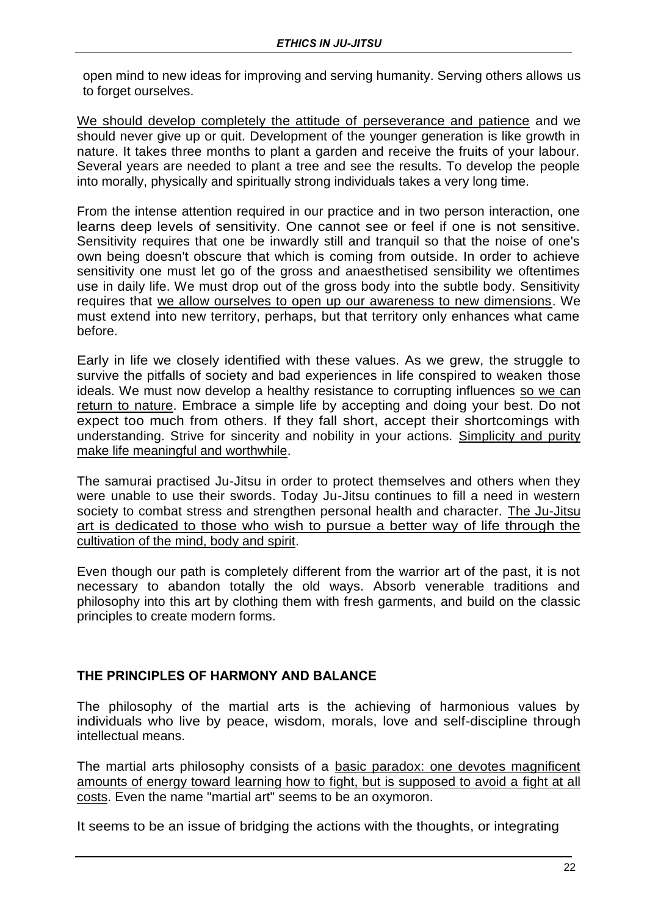open mind to new ideas for improving and serving humanity. Serving others allows us to forget ourselves.

We should develop completely the attitude of perseverance and patience and we should never give up or quit. Development of the younger generation is like growth in nature. It takes three months to plant a garden and receive the fruits of your labour. Several years are needed to plant a tree and see the results. To develop the people into morally, physically and spiritually strong individuals takes a very long time.

From the intense attention required in our practice and in two person interaction, one learns deep levels of sensitivity. One cannot see or feel if one is not sensitive. Sensitivity requires that one be inwardly still and tranquil so that the noise of one's own being doesn't obscure that which is coming from outside. In order to achieve sensitivity one must let go of the gross and anaesthetised sensibility we oftentimes use in daily life. We must drop out of the gross body into the subtle body. Sensitivity requires that we allow ourselves to open up our awareness to new dimensions. We must extend into new territory, perhaps, but that territory only enhances what came before.

Early in life we closely identified with these values. As we grew, the struggle to survive the pitfalls of society and bad experiences in life conspired to weaken those ideals. We must now develop a healthy resistance to corrupting influences so we can return to nature. Embrace a simple life by accepting and doing your best. Do not expect too much from others. If they fall short, accept their shortcomings with understanding. Strive for sincerity and nobility in your actions. Simplicity and purity make life meaningful and worthwhile.

The samurai practised Ju-Jitsu in order to protect themselves and others when they were unable to use their swords. Today Ju-Jitsu continues to fill a need in western society to combat stress and strengthen personal health and character. The Ju-Jitsu art is dedicated to those who wish to pursue a better way of life through the cultivation of the mind, body and spirit.

Even though our path is completely different from the warrior art of the past, it is not necessary to abandon totally the old ways. Absorb venerable traditions and philosophy into this art by clothing them with fresh garments, and build on the classic principles to create modern forms.

## **THE PRINCIPLES OF HARMONY AND BALANCE**

The philosophy of the martial arts is the achieving of harmonious values by individuals who live by peace, wisdom, morals, love and self-discipline through intellectual means.

The martial arts philosophy consists of a basic paradox: one devotes magnificent amounts of energy toward learning how to fight, but is supposed to avoid a fight at all costs. Even the name "martial art" seems to be an oxymoron.

It seems to be an issue of bridging the actions with the thoughts, or integrating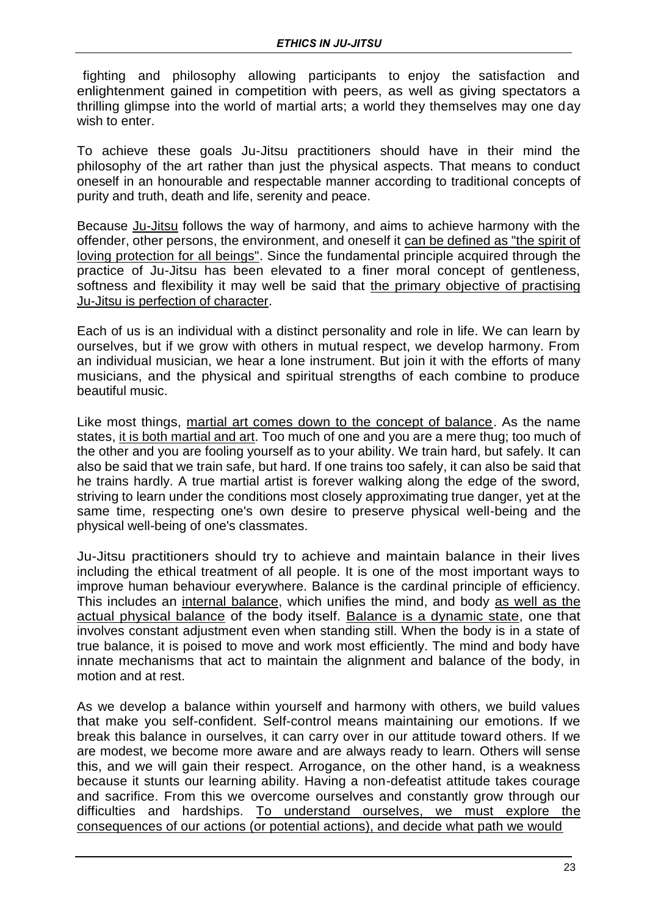fighting and philosophy allowing participants to enjoy the satisfaction and enlightenment gained in competition with peers, as well as giving spectators a thrilling glimpse into the world of martial arts; a world they themselves may one day wish to enter.

To achieve these goals Ju-Jitsu practitioners should have in their mind the philosophy of the art rather than just the physical aspects. That means to conduct oneself in an honourable and respectable manner according to traditional concepts of purity and truth, death and life, serenity and peace.

Because Ju-Jitsu follows the way of harmony, and aims to achieve harmony with the offender, other persons, the environment, and oneself it can be defined as "the spirit of loving protection for all beings". Since the fundamental principle acquired through the practice of Ju-Jitsu has been elevated to a finer moral concept of gentleness, softness and flexibility it may well be said that the primary objective of practising Ju-Jitsu is perfection of character.

Each of us is an individual with a distinct personality and role in life. We can learn by ourselves, but if we grow with others in mutual respect, we develop harmony. From an individual musician, we hear a lone instrument. But join it with the efforts of many musicians, and the physical and spiritual strengths of each combine to produce beautiful music.

Like most things, martial art comes down to the concept of balance. As the name states, it is both martial and art. Too much of one and you are a mere thug; too much of the other and you are fooling yourself as to your ability. We train hard, but safely. It can also be said that we train safe, but hard. If one trains too safely, it can also be said that he trains hardly. A true martial artist is forever walking along the edge of the sword, striving to learn under the conditions most closely approximating true danger, yet at the same time, respecting one's own desire to preserve physical well-being and the physical well-being of one's classmates.

Ju-Jitsu practitioners should try to achieve and maintain balance in their lives including the ethical treatment of all people. It is one of the most important ways to improve human behaviour everywhere. Balance is the cardinal principle of efficiency. This includes an internal balance, which unifies the mind, and body as well as the actual physical balance of the body itself. Balance is a dynamic state, one that involves constant adjustment even when standing still. When the body is in a state of true balance, it is poised to move and work most efficiently. The mind and body have innate mechanisms that act to maintain the alignment and balance of the body, in motion and at rest.

As we develop a balance within yourself and harmony with others, we build values that make you self-confident. Self-control means maintaining our emotions. If we break this balance in ourselves, it can carry over in our attitude toward others. If we are modest, we become more aware and are always ready to learn. Others will sense this, and we will gain their respect. Arrogance, on the other hand, is a weakness because it stunts our learning ability. Having a non-defeatist attitude takes courage and sacrifice. From this we overcome ourselves and constantly grow through our difficulties and hardships. To understand ourselves, we must explore the consequences of our actions (or potential actions), and decide what path we would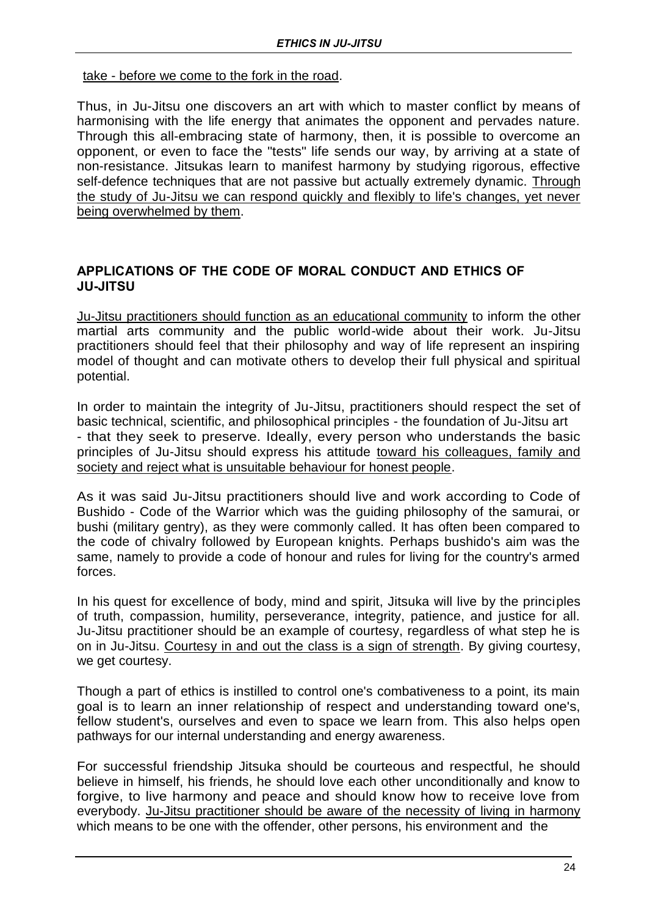#### take - before we come to the fork in the road.

Thus, in Ju-Jitsu one discovers an art with which to master conflict by means of harmonising with the life energy that animates the opponent and pervades nature. Through this all-embracing state of harmony, then, it is possible to overcome an opponent, or even to face the "tests" life sends our way, by arriving at a state of non-resistance. Jitsukas learn to manifest harmony by studying rigorous, effective self-defence techniques that are not passive but actually extremely dynamic. Through the study of Ju-Jitsu we can respond quickly and flexibly to life's changes, yet never being overwhelmed by them.

### **APPLICATIONS OF THE CODE OF MORAL CONDUCT AND ETHICS OF JU-JITSU**

Ju-Jitsu practitioners should function as an educational community to inform the other martial arts community and the public world-wide about their work. Ju-Jitsu practitioners should feel that their philosophy and way of life represent an inspiring model of thought and can motivate others to develop their full physical and spiritual potential.

In order to maintain the integrity of Ju-Jitsu, practitioners should respect the set of basic technical, scientific, and philosophical principles - the foundation of Ju-Jitsu art - that they seek to preserve. Ideally, every person who understands the basic principles of Ju-Jitsu should express his attitude toward his colleagues, family and society and reject what is unsuitable behaviour for honest people.

As it was said Ju-Jitsu practitioners should live and work according to Code of Bushido - Code of the Warrior which was the guiding philosophy of the samurai, or bushi (military gentry), as they were commonly called. It has often been compared to the code of chivalry followed by European knights. Perhaps bushido's aim was the same, namely to provide a code of honour and rules for living for the country's armed forces.

In his quest for excellence of body, mind and spirit, Jitsuka will live by the principles of truth, compassion, humility, perseverance, integrity, patience, and justice for all. Ju-Jitsu practitioner should be an example of courtesy, regardless of what step he is on in Ju-Jitsu. Courtesy in and out the class is a sign of strength. By giving courtesy, we get courtesy.

Though a part of ethics is instilled to control one's combativeness to a point, its main goal is to learn an inner relationship of respect and understanding toward one's, fellow student's, ourselves and even to space we learn from. This also helps open pathways for our internal understanding and energy awareness.

For successful friendship Jitsuka should be courteous and respectful, he should believe in himself, his friends, he should love each other unconditionally and know to forgive, to live harmony and peace and should know how to receive love from everybody. Ju-Jitsu practitioner should be aware of the necessity of living in harmony which means to be one with the offender, other persons, his environment and the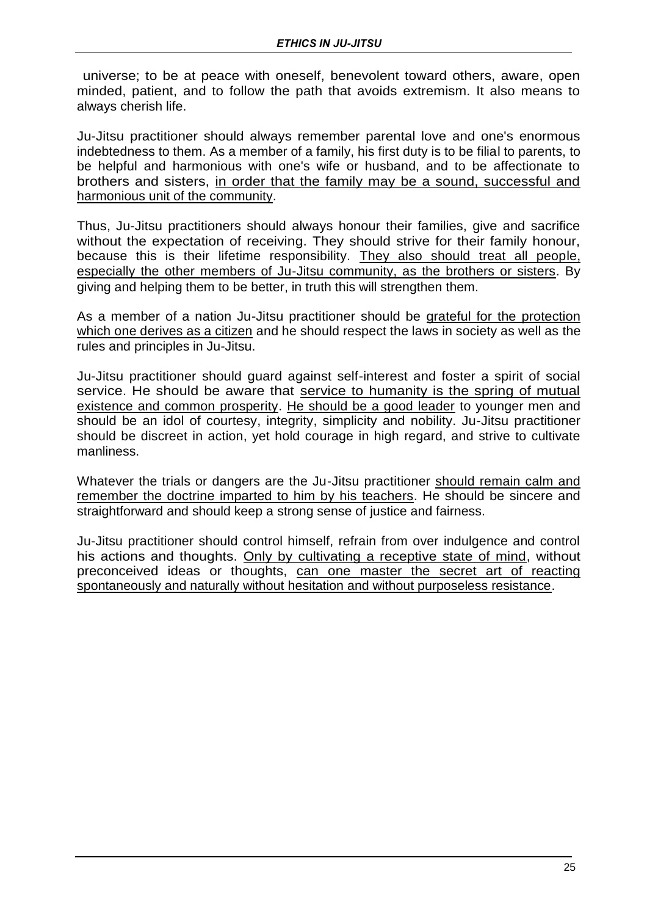universe; to be at peace with oneself, benevolent toward others, aware, open minded, patient, and to follow the path that avoids extremism. It also means to always cherish life.

Ju-Jitsu practitioner should always remember parental love and one's enormous indebtedness to them. As a member of a family, his first duty is to be filial to parents, to be helpful and harmonious with one's wife or husband, and to be affectionate to brothers and sisters, in order that the family may be a sound, successful and harmonious unit of the community.

Thus, Ju-Jitsu practitioners should always honour their families, give and sacrifice without the expectation of receiving. They should strive for their family honour, because this is their lifetime responsibility. They also should treat all people, especially the other members of Ju-Jitsu community, as the brothers or sisters. By giving and helping them to be better, in truth this will strengthen them.

As a member of a nation Ju-Jitsu practitioner should be grateful for the protection which one derives as a citizen and he should respect the laws in society as well as the rules and principles in Ju-Jitsu.

Ju-Jitsu practitioner should guard against self-interest and foster a spirit of social service. He should be aware that service to humanity is the spring of mutual existence and common prosperity. He should be a good leader to younger men and should be an idol of courtesy, integrity, simplicity and nobility. Ju-Jitsu practitioner should be discreet in action, yet hold courage in high regard, and strive to cultivate manliness.

Whatever the trials or dangers are the Ju-Jitsu practitioner should remain calm and remember the doctrine imparted to him by his teachers. He should be sincere and straightforward and should keep a strong sense of justice and fairness.

Ju-Jitsu practitioner should control himself, refrain from over indulgence and control his actions and thoughts. Only by cultivating a receptive state of mind, without preconceived ideas or thoughts, can one master the secret art of reacting spontaneously and naturally without hesitation and without purposeless resistance.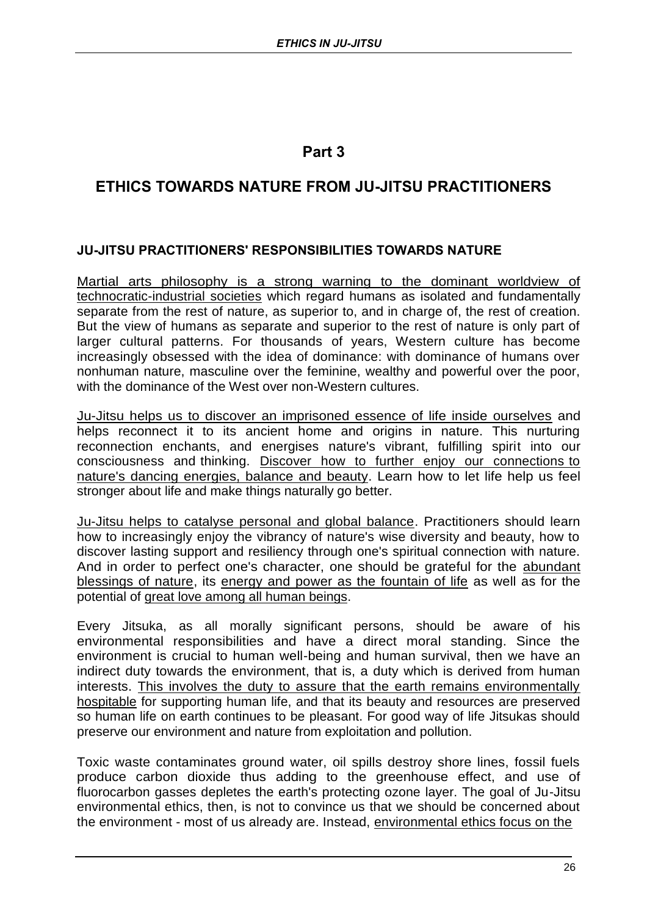## **Part 3**

## **ETHICS TOWARDS NATURE FROM JU-JITSU PRACTITIONERS**

## **JU-JITSU PRACTITIONERS' RESPONSIBILITIES TOWARDS NATURE**

Martial arts philosophy is a strong warning to the dominant worldview of technocratic-industrial societies which regard humans as isolated and fundamentally separate from the rest of nature, as superior to, and in charge of, the rest of creation. But the view of humans as separate and superior to the rest of nature is only part of larger cultural patterns. For thousands of years, Western culture has become increasingly obsessed with the idea of dominance: with dominance of humans over nonhuman nature, masculine over the feminine, wealthy and powerful over the poor, with the dominance of the West over non-Western cultures.

Ju-Jitsu helps us to discover an imprisoned essence of life inside ourselves and helps reconnect it to its ancient home and origins in nature. This nurturing reconnection enchants, and energises nature's vibrant, fulfilling spirit into our consciousness and thinking. Discover how to further enjoy our connections to nature's dancing energies, balance and beauty. Learn how to let life help us feel stronger about life and make things naturally go better.

Ju-Jitsu helps to catalyse personal and global balance. Practitioners should learn how to increasingly enjoy the vibrancy of nature's wise diversity and beauty, how to discover lasting support and resiliency through one's spiritual connection with nature. And in order to perfect one's character, one should be grateful for the abundant blessings of nature, its energy and power as the fountain of life as well as for the potential of great love among all human beings.

Every Jitsuka, as all morally significant persons, should be aware of his environmental responsibilities and have a direct moral standing. Since the environment is crucial to human well-being and human survival, then we have an indirect duty towards the environment, that is, a duty which is derived from human interests. This involves the duty to assure that the earth remains environmentally hospitable for supporting human life, and that its beauty and resources are preserved so human life on earth continues to be pleasant. For good way of life Jitsukas should preserve our environment and nature from exploitation and pollution.

Toxic waste contaminates ground water, oil spills destroy shore lines, fossil fuels produce carbon dioxide thus adding to the greenhouse effect, and use of fluorocarbon gasses depletes the earth's protecting ozone layer. The goal of Ju-Jitsu environmental ethics, then, is not to convince us that we should be concerned about the environment - most of us already are. Instead, environmental ethics focus on the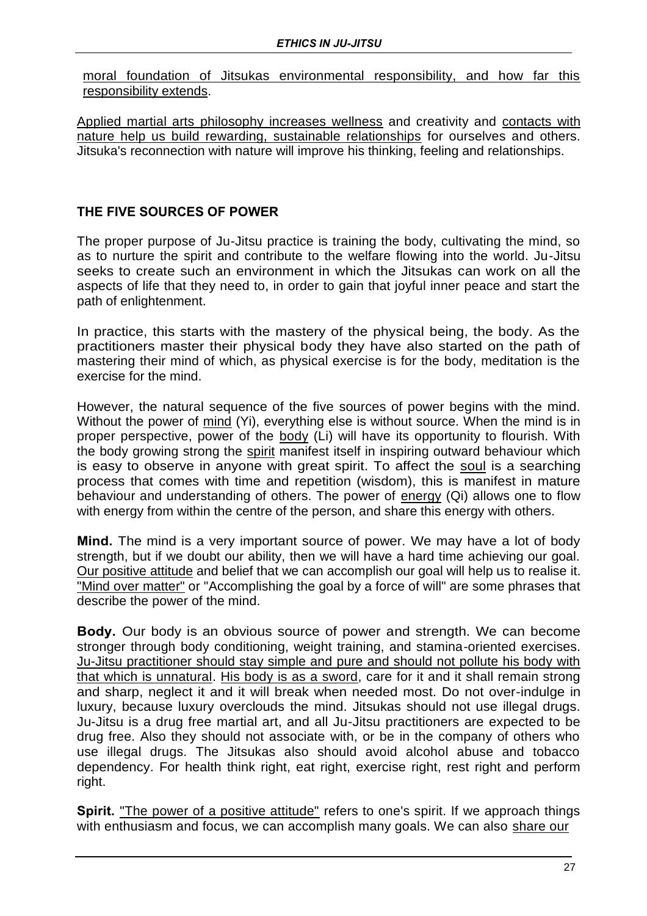moral foundation of Jitsukas environmental responsibility, and how far this responsibility extends.

Applied martial arts philosophy increases wellness and creativity and contacts with nature help us build rewarding, sustainable relationships for ourselves and others. Jitsuka's reconnection with nature will improve his thinking, feeling and relationships.

### **THE FIVE SOURCES OF POWER**

The proper purpose of Ju-Jitsu practice is training the body, cultivating the mind, so as to nurture the spirit and contribute to the welfare flowing into the world. Ju-Jitsu seeks to create such an environment in which the Jitsukas can work on all the aspects of life that they need to, in order to gain that joyful inner peace and start the path of enlightenment.

In practice, this starts with the mastery of the physical being, the body. As the practitioners master their physical body they have also started on the path of mastering their mind of which, as physical exercise is for the body, meditation is the exercise for the mind.

However, the natural sequence of the five sources of power begins with the mind. Without the power of mind (Yi), everything else is without source. When the mind is in proper perspective, power of the body (Li) will have its opportunity to flourish. With the body growing strong the spirit manifest itself in inspiring outward behaviour which is easy to observe in anyone with great spirit. To affect the soul is a searching process that comes with time and repetition (wisdom), this is manifest in mature behaviour and understanding of others. The power of energy (Qi) allows one to flow with energy from within the centre of the person, and share this energy with others.

**Mind.** The mind is a very important source of power. We may have a lot of body strength, but if we doubt our ability, then we will have a hard time achieving our goal. Our positive attitude and belief that we can accomplish our goal will help us to realise it. "Mind over matter" or "Accomplishing the goal by a force of will" are some phrases that describe the power of the mind.

**Body.** Our body is an obvious source of power and strength. We can become stronger through body conditioning, weight training, and stamina-oriented exercises. Ju-Jitsu practitioner should stay simple and pure and should not pollute his body with that which is unnatural. His body is as a sword, care for it and it shall remain strong and sharp, neglect it and it will break when needed most. Do not over-indulge in luxury, because luxury overclouds the mind. Jitsukas should not use illegal drugs. Ju-Jitsu is a drug free martial art, and all Ju-Jitsu practitioners are expected to be drug free. Also they should not associate with, or be in the company of others who use illegal drugs. The Jitsukas also should avoid alcohol abuse and tobacco dependency. For health think right, eat right, exercise right, rest right and perform right.

**Spirit.** "The power of a positive attitude" refers to one's spirit. If we approach things with enthusiasm and focus, we can accomplish many goals. We can also share our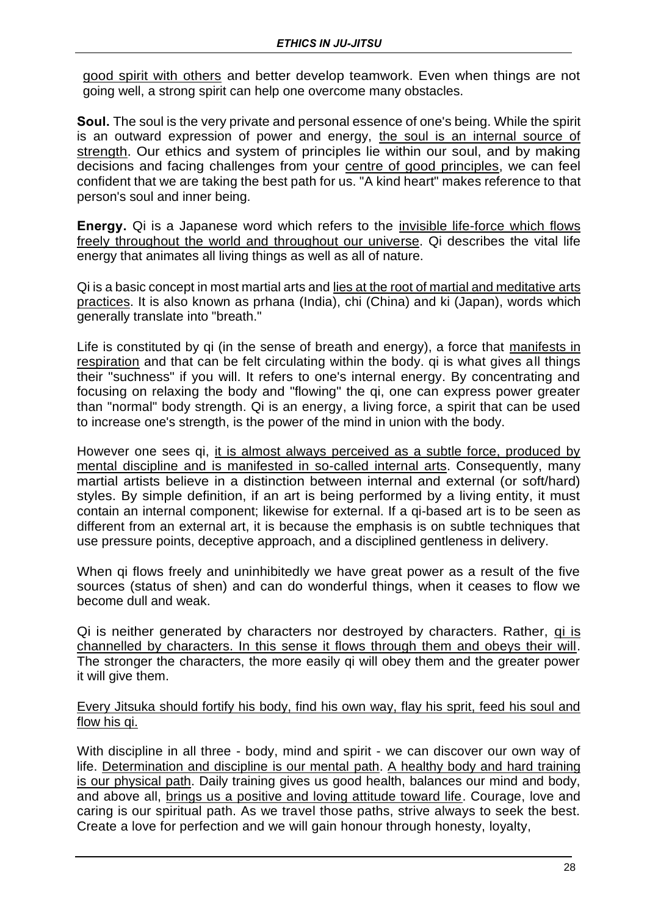good spirit with others and better develop teamwork. Even when things are not going well, a strong spirit can help one overcome many obstacles.

**Soul.** The soul is the very private and personal essence of one's being. While the spirit is an outward expression of power and energy, the soul is an internal source of strength. Our ethics and system of principles lie within our soul, and by making decisions and facing challenges from your centre of good principles, we can feel confident that we are taking the best path for us. "A kind heart" makes reference to that person's soul and inner being.

**Energy.** Qi is a Japanese word which refers to the invisible life-force which flows freely throughout the world and throughout our universe. Qi describes the vital life energy that animates all living things as well as all of nature.

Qi is a basic concept in most martial arts and lies at the root of martial and meditative arts practices. It is also known as prhana (India), chi (China) and ki (Japan), words which generally translate into "breath."

Life is constituted by qi (in the sense of breath and energy), a force that manifests in respiration and that can be felt circulating within the body. qi is what gives all things their "suchness" if you will. It refers to one's internal energy. By concentrating and focusing on relaxing the body and "flowing" the qi, one can express power greater than "normal" body strength. Qi is an energy, a living force, a spirit that can be used to increase one's strength, is the power of the mind in union with the body.

However one sees qi, it is almost always perceived as a subtle force, produced by mental discipline and is manifested in so-called internal arts. Consequently, many martial artists believe in a distinction between internal and external (or soft/hard) styles. By simple definition, if an art is being performed by a living entity, it must contain an internal component; likewise for external. If a qi-based art is to be seen as different from an external art, it is because the emphasis is on subtle techniques that use pressure points, deceptive approach, and a disciplined gentleness in delivery.

When qi flows freely and uninhibitedly we have great power as a result of the five sources (status of shen) and can do wonderful things, when it ceases to flow we become dull and weak.

Qi is neither generated by characters nor destroyed by characters. Rather, qi is channelled by characters. In this sense it flows through them and obeys their will. The stronger the characters, the more easily qi will obey them and the greater power it will give them.

Every Jitsuka should fortify his body, find his own way, flay his sprit, feed his soul and flow his qi.

With discipline in all three - body, mind and spirit - we can discover our own way of life. Determination and discipline is our mental path. A healthy body and hard training is our physical path. Daily training gives us good health, balances our mind and body, and above all, brings us a positive and loving attitude toward life. Courage, love and caring is our spiritual path. As we travel those paths, strive always to seek the best. Create a love for perfection and we will gain honour through honesty, loyalty,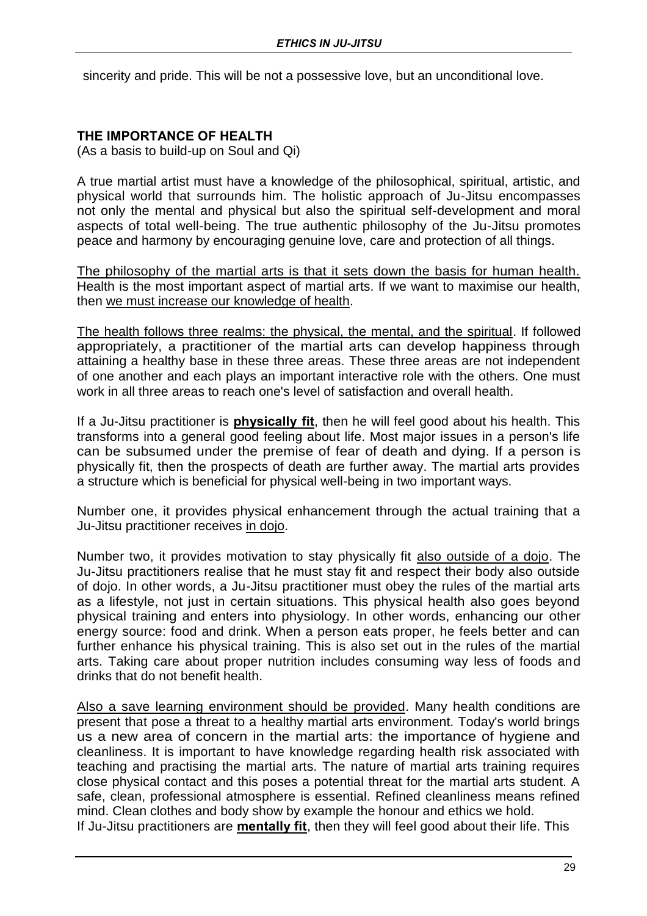sincerity and pride. This will be not a possessive love, but an unconditional love.

## **THE IMPORTANCE OF HEALTH**

(As a basis to build-up on Soul and Qi)

A true martial artist must have a knowledge of the philosophical, spiritual, artistic, and physical world that surrounds him. The holistic approach of Ju-Jitsu encompasses not only the mental and physical but also the spiritual self-development and moral aspects of total well-being. The true authentic philosophy of the Ju-Jitsu promotes peace and harmony by encouraging genuine love, care and protection of all things.

The philosophy of the martial arts is that it sets down the basis for human health. Health is the most important aspect of martial arts. If we want to maximise our health, then we must increase our knowledge of health.

The health follows three realms: the physical, the mental, and the spiritual. If followed appropriately, a practitioner of the martial arts can develop happiness through attaining a healthy base in these three areas. These three areas are not independent of one another and each plays an important interactive role with the others. One must work in all three areas to reach one's level of satisfaction and overall health.

If a Ju-Jitsu practitioner is **physically fit**, then he will feel good about his health. This transforms into a general good feeling about life. Most major issues in a person's life can be subsumed under the premise of fear of death and dying. If a person is physically fit, then the prospects of death are further away. The martial arts provides a structure which is beneficial for physical well-being in two important ways.

Number one, it provides physical enhancement through the actual training that a Ju-Jitsu practitioner receives in dojo.

Number two, it provides motivation to stay physically fit also outside of a dojo. The Ju-Jitsu practitioners realise that he must stay fit and respect their body also outside of dojo. In other words, a Ju-Jitsu practitioner must obey the rules of the martial arts as a lifestyle, not just in certain situations. This physical health also goes beyond physical training and enters into physiology. In other words, enhancing our other energy source: food and drink. When a person eats proper, he feels better and can further enhance his physical training. This is also set out in the rules of the martial arts. Taking care about proper nutrition includes consuming way less of foods and drinks that do not benefit health.

Also a save learning environment should be provided. Many health conditions are present that pose a threat to a healthy martial arts environment. Today's world brings us a new area of concern in the martial arts: the importance of hygiene and cleanliness. It is important to have knowledge regarding health risk associated with teaching and practising the martial arts. The nature of martial arts training requires close physical contact and this poses a potential threat for the martial arts student. A safe, clean, professional atmosphere is essential. Refined cleanliness means refined mind. Clean clothes and body show by example the honour and ethics we hold. If Ju-Jitsu practitioners are **mentally fit**, then they will feel good about their life. This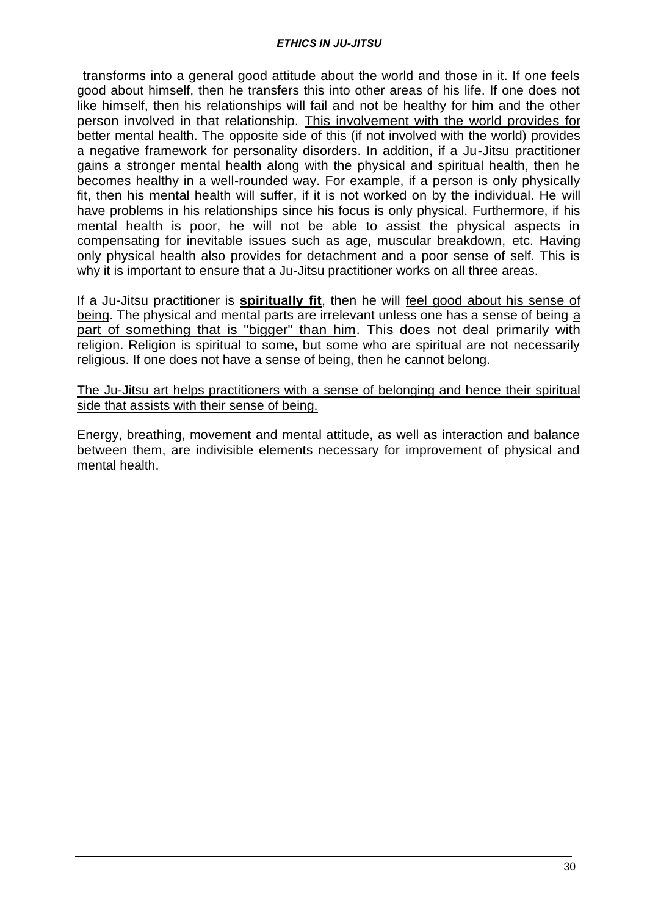transforms into a general good attitude about the world and those in it. If one feels good about himself, then he transfers this into other areas of his life. If one does not like himself, then his relationships will fail and not be healthy for him and the other person involved in that relationship. This involvement with the world provides for better mental health. The opposite side of this (if not involved with the world) provides a negative framework for personality disorders. In addition, if a Ju-Jitsu practitioner gains a stronger mental health along with the physical and spiritual health, then he becomes healthy in a well-rounded way. For example, if a person is only physically fit, then his mental health will suffer, if it is not worked on by the individual. He will have problems in his relationships since his focus is only physical. Furthermore, if his mental health is poor, he will not be able to assist the physical aspects in compensating for inevitable issues such as age, muscular breakdown, etc. Having only physical health also provides for detachment and a poor sense of self. This is why it is important to ensure that a Ju-Jitsu practitioner works on all three areas.

If a Ju-Jitsu practitioner is **spiritually fit**, then he will feel good about his sense of being. The physical and mental parts are irrelevant unless one has a sense of being a part of something that is "bigger" than him. This does not deal primarily with religion. Religion is spiritual to some, but some who are spiritual are not necessarily religious. If one does not have a sense of being, then he cannot belong.

The Ju-Jitsu art helps practitioners with a sense of belonging and hence their spiritual side that assists with their sense of being.

Energy, breathing, movement and mental attitude, as well as interaction and balance between them, are indivisible elements necessary for improvement of physical and mental health.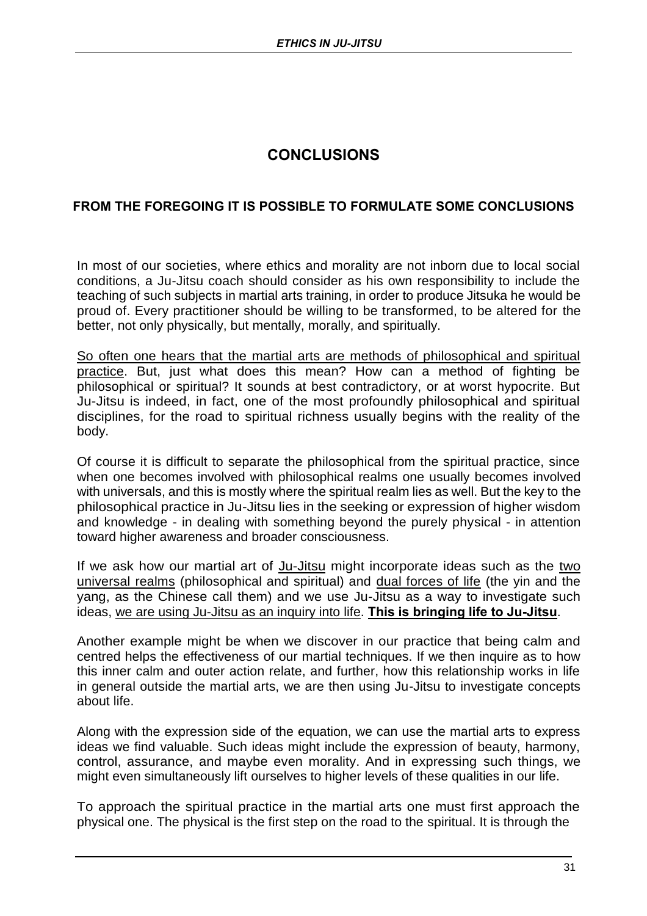## **CONCLUSIONS**

## **FROM THE FOREGOING IT IS POSSIBLE TO FORMULATE SOME CONCLUSIONS**

In most of our societies, where ethics and morality are not inborn due to local social conditions, a Ju-Jitsu coach should consider as his own responsibility to include the teaching of such subjects in martial arts training, in order to produce Jitsuka he would be proud of. Every practitioner should be willing to be transformed, to be altered for the better, not only physically, but mentally, morally, and spiritually.

So often one hears that the martial arts are methods of philosophical and spiritual practice. But, just what does this mean? How can a method of fighting be philosophical or spiritual? It sounds at best contradictory, or at worst hypocrite. But Ju-Jitsu is indeed, in fact, one of the most profoundly philosophical and spiritual disciplines, for the road to spiritual richness usually begins with the reality of the body.

Of course it is difficult to separate the philosophical from the spiritual practice, since when one becomes involved with philosophical realms one usually becomes involved with universals, and this is mostly where the spiritual realm lies as well. But the key to the philosophical practice in Ju-Jitsu lies in the seeking or expression of higher wisdom and knowledge - in dealing with something beyond the purely physical - in attention toward higher awareness and broader consciousness.

If we ask how our martial art of Ju-Jitsu might incorporate ideas such as the two universal realms (philosophical and spiritual) and dual forces of life (the yin and the yang, as the Chinese call them) and we use Ju-Jitsu as a way to investigate such ideas, we are using Ju-Jitsu as an inquiry into life. **This is bringing life to Ju-Jitsu**.

Another example might be when we discover in our practice that being calm and centred helps the effectiveness of our martial techniques. If we then inquire as to how this inner calm and outer action relate, and further, how this relationship works in life in general outside the martial arts, we are then using Ju-Jitsu to investigate concepts about life.

Along with the expression side of the equation, we can use the martial arts to express ideas we find valuable. Such ideas might include the expression of beauty, harmony, control, assurance, and maybe even morality. And in expressing such things, we might even simultaneously lift ourselves to higher levels of these qualities in our life.

To approach the spiritual practice in the martial arts one must first approach the physical one. The physical is the first step on the road to the spiritual. It is through the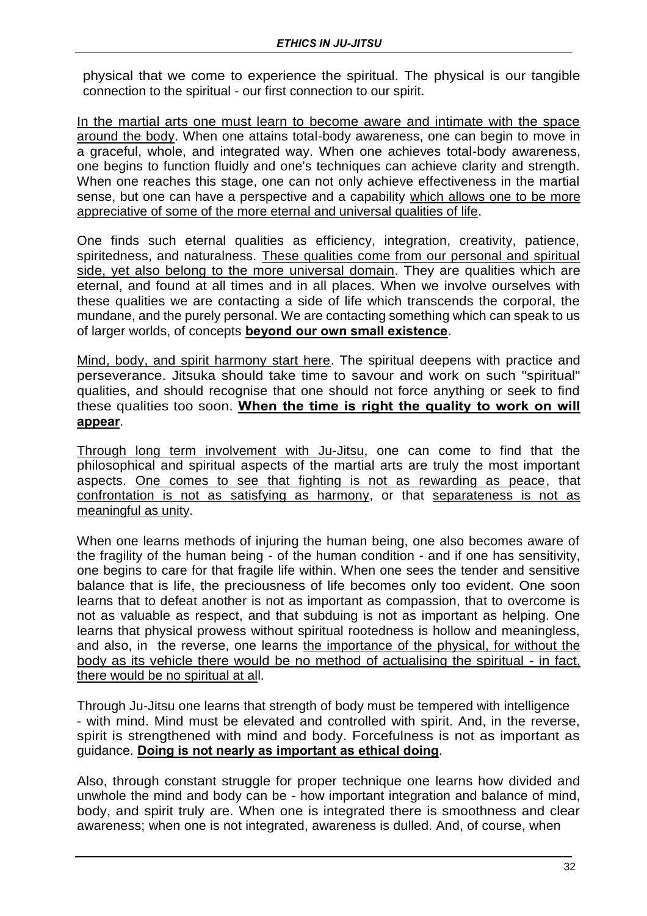physical that we come to experience the spiritual. The physical is our tangible connection to the spiritual - our first connection to our spirit.

In the martial arts one must learn to become aware and intimate with the space around the body. When one attains total-body awareness, one can begin to move in a graceful, whole, and integrated way. When one achieves total-body awareness, one begins to function fluidly and one's techniques can achieve clarity and strength. When one reaches this stage, one can not only achieve effectiveness in the martial sense, but one can have a perspective and a capability which allows one to be more appreciative of some of the more eternal and universal qualities of life.

One finds such eternal qualities as efficiency, integration, creativity, patience, spiritedness, and naturalness. These qualities come from our personal and spiritual side, yet also belong to the more universal domain. They are qualities which are eternal, and found at all times and in all places. When we involve ourselves with these qualities we are contacting a side of life which transcends the corporal, the mundane, and the purely personal. We are contacting something which can speak to us of larger worlds, of concepts **beyond our own small existence**.

Mind, body, and spirit harmony start here. The spiritual deepens with practice and perseverance. Jitsuka should take time to savour and work on such "spiritual" qualities, and should recognise that one should not force anything or seek to find these qualities too soon. **When the time is right the quality to work on will appear**.

Through long term involvement with Ju-Jitsu, one can come to find that the philosophical and spiritual aspects of the martial arts are truly the most important aspects. One comes to see that fighting is not as rewarding as peace, that confrontation is not as satisfying as harmony, or that separateness is not as meaningful as unity.

When one learns methods of injuring the human being, one also becomes aware of the fragility of the human being - of the human condition - and if one has sensitivity, one begins to care for that fragile life within. When one sees the tender and sensitive balance that is life, the preciousness of life becomes only too evident. One soon learns that to defeat another is not as important as compassion, that to overcome is not as valuable as respect, and that subduing is not as important as helping. One learns that physical prowess without spiritual rootedness is hollow and meaningless, and also, in the reverse, one learns the importance of the physical, for without the body as its vehicle there would be no method of actualising the spiritual - in fact, there would be no spiritual at all.

Through Ju-Jitsu one learns that strength of body must be tempered with intelligence - with mind. Mind must be elevated and controlled with spirit. And, in the reverse, spirit is strengthened with mind and body. Forcefulness is not as important as guidance. **Doing is not nearly as important as ethical doing**.

Also, through constant struggle for proper technique one learns how divided and unwhole the mind and body can be - how important integration and balance of mind, body, and spirit truly are. When one is integrated there is smoothness and clear awareness; when one is not integrated, awareness is dulled. And, of course, when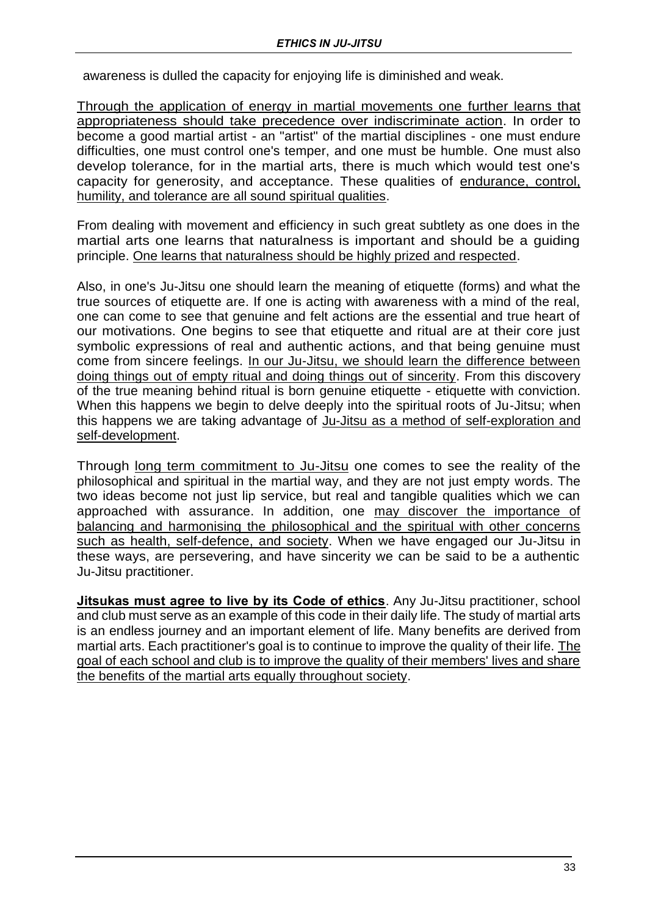awareness is dulled the capacity for enjoying life is diminished and weak.

Through the application of energy in martial movements one further learns that appropriateness should take precedence over indiscriminate action. In order to become a good martial artist - an "artist" of the martial disciplines - one must endure difficulties, one must control one's temper, and one must be humble. One must also develop tolerance, for in the martial arts, there is much which would test one's capacity for generosity, and acceptance. These qualities of endurance, control, humility, and tolerance are all sound spiritual qualities.

From dealing with movement and efficiency in such great subtlety as one does in the martial arts one learns that naturalness is important and should be a guiding principle. One learns that naturalness should be highly prized and respected.

Also, in one's Ju-Jitsu one should learn the meaning of etiquette (forms) and what the true sources of etiquette are. If one is acting with awareness with a mind of the real, one can come to see that genuine and felt actions are the essential and true heart of our motivations. One begins to see that etiquette and ritual are at their core just symbolic expressions of real and authentic actions, and that being genuine must come from sincere feelings. In our Ju-Jitsu, we should learn the difference between doing things out of empty ritual and doing things out of sincerity. From this discovery of the true meaning behind ritual is born genuine etiquette - etiquette with conviction. When this happens we begin to delve deeply into the spiritual roots of Ju-Jitsu; when this happens we are taking advantage of Ju-Jitsu as a method of self-exploration and self-development.

Through long term commitment to Ju-Jitsu one comes to see the reality of the philosophical and spiritual in the martial way, and they are not just empty words. The two ideas become not just lip service, but real and tangible qualities which we can approached with assurance. In addition, one may discover the importance of balancing and harmonising the philosophical and the spiritual with other concerns such as health, self-defence, and society. When we have engaged our Ju-Jitsu in these ways, are persevering, and have sincerity we can be said to be a authentic Ju-Jitsu practitioner.

**Jitsukas must agree to live by its Code of ethics**. Any Ju-Jitsu practitioner, school and club must serve as an example of this code in their daily life. The study of martial arts is an endless journey and an important element of life. Many benefits are derived from martial arts. Each practitioner's goal is to continue to improve the quality of their life. The goal of each school and club is to improve the quality of their members' lives and share the benefits of the martial arts equally throughout society.